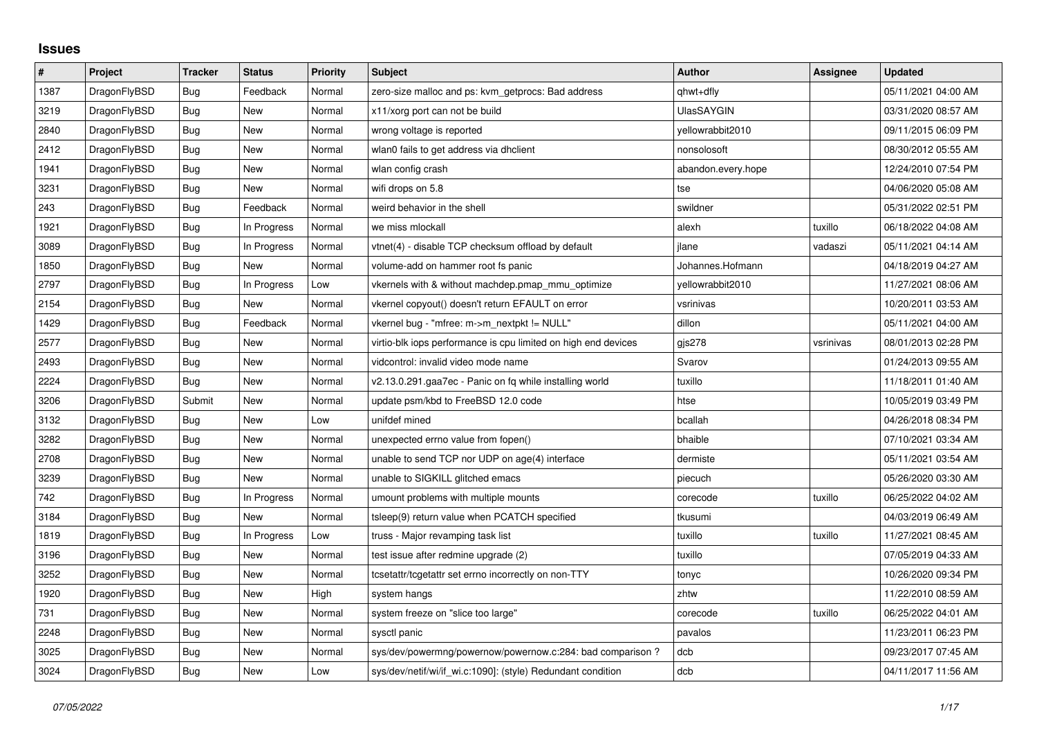## **Issues**

| $\vert$ # | Project      | <b>Tracker</b> | <b>Status</b> | <b>Priority</b> | <b>Subject</b>                                                 | <b>Author</b>      | Assignee  | <b>Updated</b>      |
|-----------|--------------|----------------|---------------|-----------------|----------------------------------------------------------------|--------------------|-----------|---------------------|
| 1387      | DragonFlyBSD | Bug            | Feedback      | Normal          | zero-size malloc and ps: kvm_getprocs: Bad address             | qhwt+dfly          |           | 05/11/2021 04:00 AM |
| 3219      | DragonFlyBSD | <b>Bug</b>     | <b>New</b>    | Normal          | x11/xorg port can not be build                                 | UlasSAYGIN         |           | 03/31/2020 08:57 AM |
| 2840      | DragonFlyBSD | Bug            | New           | Normal          | wrong voltage is reported                                      | vellowrabbit2010   |           | 09/11/2015 06:09 PM |
| 2412      | DragonFlyBSD | <b>Bug</b>     | <b>New</b>    | Normal          | wlan0 fails to get address via dhclient                        | nonsolosoft        |           | 08/30/2012 05:55 AM |
| 1941      | DragonFlyBSD | <b>Bug</b>     | New           | Normal          | wlan config crash                                              | abandon.every.hope |           | 12/24/2010 07:54 PM |
| 3231      | DragonFlyBSD | Bug            | New           | Normal          | wifi drops on 5.8                                              | tse                |           | 04/06/2020 05:08 AM |
| 243       | DragonFlyBSD | <b>Bug</b>     | Feedback      | Normal          | weird behavior in the shell                                    | swildner           |           | 05/31/2022 02:51 PM |
| 1921      | DragonFlyBSD | Bug            | In Progress   | Normal          | we miss mlockall                                               | alexh              | tuxillo   | 06/18/2022 04:08 AM |
| 3089      | DragonFlyBSD | <b>Bug</b>     | In Progress   | Normal          | vtnet(4) - disable TCP checksum offload by default             | ilane              | vadaszi   | 05/11/2021 04:14 AM |
| 1850      | DragonFlyBSD | <b>Bug</b>     | New           | Normal          | volume-add on hammer root fs panic                             | Johannes.Hofmann   |           | 04/18/2019 04:27 AM |
| 2797      | DragonFlyBSD | Bug            | In Progress   | Low             | vkernels with & without machdep.pmap mmu optimize              | yellowrabbit2010   |           | 11/27/2021 08:06 AM |
| 2154      | DragonFlyBSD | <b>Bug</b>     | <b>New</b>    | Normal          | vkernel copyout() doesn't return EFAULT on error               | vsrinivas          |           | 10/20/2011 03:53 AM |
| 1429      | DragonFlyBSD | <b>Bug</b>     | Feedback      | Normal          | vkernel bug - "mfree: m->m nextpkt != NULL"                    | dillon             |           | 05/11/2021 04:00 AM |
| 2577      | DragonFlyBSD | <b>Bug</b>     | New           | Normal          | virtio-blk iops performance is cpu limited on high end devices | gis278             | vsrinivas | 08/01/2013 02:28 PM |
| 2493      | DragonFlyBSD | <b>Bug</b>     | <b>New</b>    | Normal          | vidcontrol: invalid video mode name                            | Svarov             |           | 01/24/2013 09:55 AM |
| 2224      | DragonFlyBSD | <b>Bug</b>     | New           | Normal          | v2.13.0.291.gaa7ec - Panic on fq while installing world        | tuxillo            |           | 11/18/2011 01:40 AM |
| 3206      | DragonFlyBSD | Submit         | New           | Normal          | update psm/kbd to FreeBSD 12.0 code                            | htse               |           | 10/05/2019 03:49 PM |
| 3132      | DragonFlyBSD | <b>Bug</b>     | New           | Low             | unifdef mined                                                  | bcallah            |           | 04/26/2018 08:34 PM |
| 3282      | DragonFlyBSD | Bug            | New           | Normal          | unexpected errno value from fopen()                            | bhaible            |           | 07/10/2021 03:34 AM |
| 2708      | DragonFlyBSD | Bug            | <b>New</b>    | Normal          | unable to send TCP nor UDP on age(4) interface                 | dermiste           |           | 05/11/2021 03:54 AM |
| 3239      | DragonFlyBSD | Bug            | New           | Normal          | unable to SIGKILL glitched emacs                               | piecuch            |           | 05/26/2020 03:30 AM |
| 742       | DragonFlyBSD | Bug            | In Progress   | Normal          | umount problems with multiple mounts                           | corecode           | tuxillo   | 06/25/2022 04:02 AM |
| 3184      | DragonFlyBSD | Bug            | <b>New</b>    | Normal          | tsleep(9) return value when PCATCH specified                   | tkusumi            |           | 04/03/2019 06:49 AM |
| 1819      | DragonFlyBSD | <b>Bug</b>     | In Progress   | Low             | truss - Major revamping task list                              | tuxillo            | tuxillo   | 11/27/2021 08:45 AM |
| 3196      | DragonFlyBSD | <b>Bug</b>     | New           | Normal          | test issue after redmine upgrade (2)                           | tuxillo            |           | 07/05/2019 04:33 AM |
| 3252      | DragonFlyBSD | Bug            | New           | Normal          | tcsetattr/tcgetattr set errno incorrectly on non-TTY           | tonyc              |           | 10/26/2020 09:34 PM |
| 1920      | DragonFlyBSD | <b>Bug</b>     | New           | High            | system hangs                                                   | zhtw               |           | 11/22/2010 08:59 AM |
| 731       | DragonFlyBSD | <b>Bug</b>     | New           | Normal          | system freeze on "slice too large"                             | corecode           | tuxillo   | 06/25/2022 04:01 AM |
| 2248      | DragonFlyBSD | Bug            | New           | Normal          | sysctl panic                                                   | pavalos            |           | 11/23/2011 06:23 PM |
| 3025      | DragonFlyBSD | Bug            | New           | Normal          | sys/dev/powermng/powernow/powernow.c:284: bad comparison?      | dcb                |           | 09/23/2017 07:45 AM |
| 3024      | DragonFlyBSD | Bug            | New           | Low             | sys/dev/netif/wi/if wi.c:1090]: (style) Redundant condition    | dcb                |           | 04/11/2017 11:56 AM |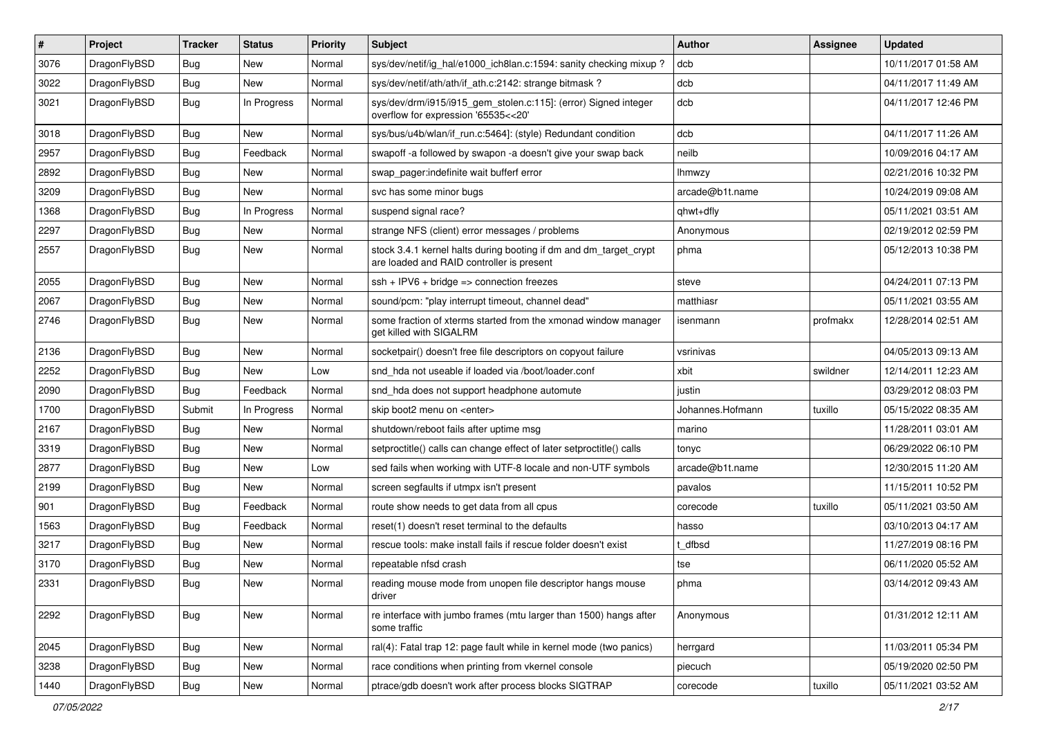| #    | Project      | <b>Tracker</b> | <b>Status</b> | <b>Priority</b> | <b>Subject</b>                                                                                                 | <b>Author</b>    | Assignee | <b>Updated</b>      |
|------|--------------|----------------|---------------|-----------------|----------------------------------------------------------------------------------------------------------------|------------------|----------|---------------------|
| 3076 | DragonFlyBSD | Bug            | <b>New</b>    | Normal          | sys/dev/netif/ig_hal/e1000_ich8lan.c:1594: sanity checking mixup ?                                             | dcb              |          | 10/11/2017 01:58 AM |
| 3022 | DragonFlyBSD | <b>Bug</b>     | <b>New</b>    | Normal          | sys/dev/netif/ath/ath/if_ath.c:2142: strange bitmask?                                                          | dcb              |          | 04/11/2017 11:49 AM |
| 3021 | DragonFlyBSD | Bug            | In Progress   | Normal          | sys/dev/drm/i915/i915_gem_stolen.c:115]: (error) Signed integer<br>overflow for expression '65535<<20'         | dcb              |          | 04/11/2017 12:46 PM |
| 3018 | DragonFlyBSD | <b>Bug</b>     | <b>New</b>    | Normal          | sys/bus/u4b/wlan/if_run.c:5464]: (style) Redundant condition                                                   | dcb              |          | 04/11/2017 11:26 AM |
| 2957 | DragonFlyBSD | <b>Bug</b>     | Feedback      | Normal          | swapoff -a followed by swapon -a doesn't give your swap back                                                   | neilb            |          | 10/09/2016 04:17 AM |
| 2892 | DragonFlyBSD | <b>Bug</b>     | <b>New</b>    | Normal          | swap_pager:indefinite wait bufferf error                                                                       | <b>Ihmwzy</b>    |          | 02/21/2016 10:32 PM |
| 3209 | DragonFlyBSD | <b>Bug</b>     | New           | Normal          | svc has some minor bugs                                                                                        | arcade@b1t.name  |          | 10/24/2019 09:08 AM |
| 1368 | DragonFlyBSD | <b>Bug</b>     | In Progress   | Normal          | suspend signal race?                                                                                           | qhwt+dfly        |          | 05/11/2021 03:51 AM |
| 2297 | DragonFlyBSD | <b>Bug</b>     | <b>New</b>    | Normal          | strange NFS (client) error messages / problems                                                                 | Anonymous        |          | 02/19/2012 02:59 PM |
| 2557 | DragonFlyBSD | Bug            | <b>New</b>    | Normal          | stock 3.4.1 kernel halts during booting if dm and dm_target_crypt<br>are loaded and RAID controller is present | phma             |          | 05/12/2013 10:38 PM |
| 2055 | DragonFlyBSD | Bug            | <b>New</b>    | Normal          | $ssh + IPV6 + bridge \Rightarrow$ connection freezes                                                           | steve            |          | 04/24/2011 07:13 PM |
| 2067 | DragonFlyBSD | <b>Bug</b>     | <b>New</b>    | Normal          | sound/pcm: "play interrupt timeout, channel dead"                                                              | matthiasr        |          | 05/11/2021 03:55 AM |
| 2746 | DragonFlyBSD | Bug            | New           | Normal          | some fraction of xterms started from the xmonad window manager<br>get killed with SIGALRM                      | isenmann         | profmakx | 12/28/2014 02:51 AM |
| 2136 | DragonFlyBSD | Bug            | <b>New</b>    | Normal          | socketpair() doesn't free file descriptors on copyout failure                                                  | vsrinivas        |          | 04/05/2013 09:13 AM |
| 2252 | DragonFlyBSD | <b>Bug</b>     | <b>New</b>    | Low             | snd_hda not useable if loaded via /boot/loader.conf                                                            | xbit             | swildner | 12/14/2011 12:23 AM |
| 2090 | DragonFlyBSD | <b>Bug</b>     | Feedback      | Normal          | snd hda does not support headphone automute                                                                    | justin           |          | 03/29/2012 08:03 PM |
| 1700 | DragonFlyBSD | Submit         | In Progress   | Normal          | skip boot2 menu on <enter></enter>                                                                             | Johannes.Hofmann | tuxillo  | 05/15/2022 08:35 AM |
| 2167 | DragonFlyBSD | Bug            | <b>New</b>    | Normal          | shutdown/reboot fails after uptime msg                                                                         | marino           |          | 11/28/2011 03:01 AM |
| 3319 | DragonFlyBSD | <b>Bug</b>     | <b>New</b>    | Normal          | setproctitle() calls can change effect of later setproctitle() calls                                           | tonyc            |          | 06/29/2022 06:10 PM |
| 2877 | DragonFlyBSD | <b>Bug</b>     | <b>New</b>    | Low             | sed fails when working with UTF-8 locale and non-UTF symbols                                                   | arcade@b1t.name  |          | 12/30/2015 11:20 AM |
| 2199 | DragonFlyBSD | <b>Bug</b>     | New           | Normal          | screen segfaults if utmpx isn't present                                                                        | pavalos          |          | 11/15/2011 10:52 PM |
| 901  | DragonFlyBSD | <b>Bug</b>     | Feedback      | Normal          | route show needs to get data from all cpus                                                                     | corecode         | tuxillo  | 05/11/2021 03:50 AM |
| 1563 | DragonFlyBSD | Bug            | Feedback      | Normal          | reset(1) doesn't reset terminal to the defaults                                                                | hasso            |          | 03/10/2013 04:17 AM |
| 3217 | DragonFlyBSD | Bug            | New           | Normal          | rescue tools: make install fails if rescue folder doesn't exist                                                | t dfbsd          |          | 11/27/2019 08:16 PM |
| 3170 | DragonFlyBSD | <b>Bug</b>     | <b>New</b>    | Normal          | repeatable nfsd crash                                                                                          | tse              |          | 06/11/2020 05:52 AM |
| 2331 | DragonFlyBSD | i Bug          | New           | Normal          | reading mouse mode from unopen file descriptor hangs mouse<br>driver                                           | phma             |          | 03/14/2012 09:43 AM |
| 2292 | DragonFlyBSD | <b>Bug</b>     | New           | Normal          | re interface with jumbo frames (mtu larger than 1500) hangs after<br>some traffic                              | Anonymous        |          | 01/31/2012 12:11 AM |
| 2045 | DragonFlyBSD | <b>Bug</b>     | New           | Normal          | ral(4): Fatal trap 12: page fault while in kernel mode (two panics)                                            | herrgard         |          | 11/03/2011 05:34 PM |
| 3238 | DragonFlyBSD | <b>Bug</b>     | New           | Normal          | race conditions when printing from vkernel console                                                             | piecuch          |          | 05/19/2020 02:50 PM |
| 1440 | DragonFlyBSD | <b>Bug</b>     | New           | Normal          | ptrace/gdb doesn't work after process blocks SIGTRAP                                                           | corecode         | tuxillo  | 05/11/2021 03:52 AM |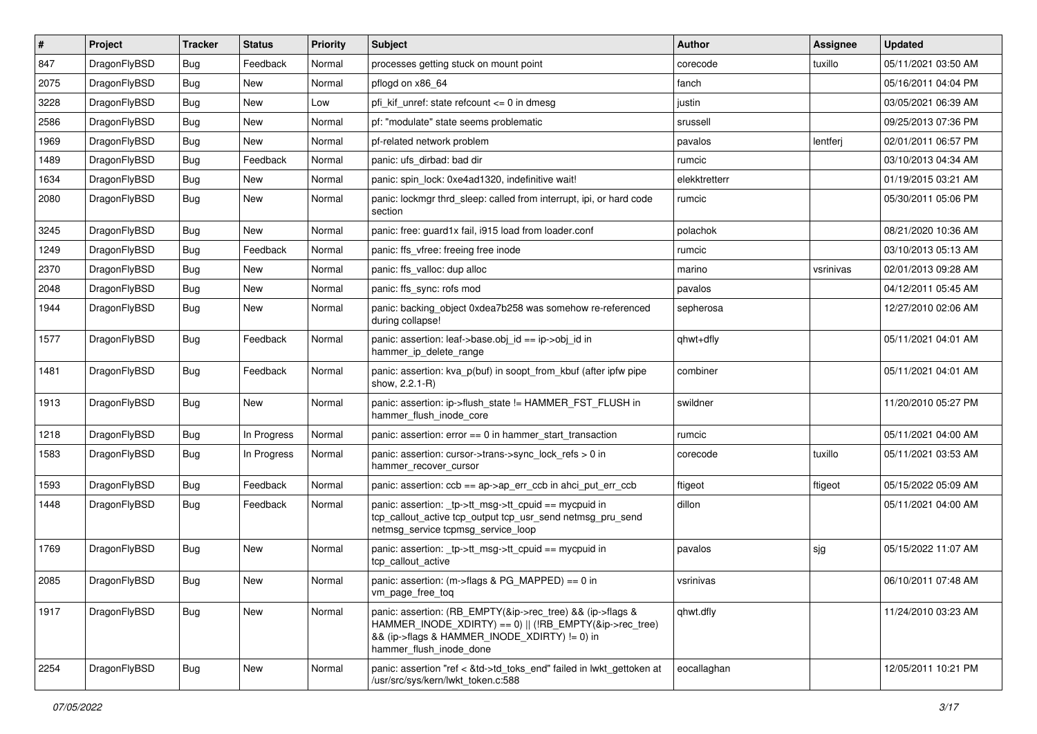| $\vert$ # | Project      | <b>Tracker</b> | <b>Status</b> | <b>Priority</b> | Subject                                                                                                                                                                                           | <b>Author</b> | <b>Assignee</b> | <b>Updated</b>      |
|-----------|--------------|----------------|---------------|-----------------|---------------------------------------------------------------------------------------------------------------------------------------------------------------------------------------------------|---------------|-----------------|---------------------|
| 847       | DragonFlyBSD | <b>Bug</b>     | Feedback      | Normal          | processes getting stuck on mount point                                                                                                                                                            | corecode      | tuxillo         | 05/11/2021 03:50 AM |
| 2075      | DragonFlyBSD | <b>Bug</b>     | New           | Normal          | pflogd on x86 64                                                                                                                                                                                  | fanch         |                 | 05/16/2011 04:04 PM |
| 3228      | DragonFlyBSD | <b>Bug</b>     | New           | Low             | pfi kif unref: state refcount $\leq$ 0 in dmesg                                                                                                                                                   | justin        |                 | 03/05/2021 06:39 AM |
| 2586      | DragonFlyBSD | <b>Bug</b>     | New           | Normal          | pf: "modulate" state seems problematic                                                                                                                                                            | srussell      |                 | 09/25/2013 07:36 PM |
| 1969      | DragonFlyBSD | <b>Bug</b>     | New           | Normal          | pf-related network problem                                                                                                                                                                        | pavalos       | lentferj        | 02/01/2011 06:57 PM |
| 1489      | DragonFlyBSD | <b>Bug</b>     | Feedback      | Normal          | panic: ufs dirbad: bad dir                                                                                                                                                                        | rumcic        |                 | 03/10/2013 04:34 AM |
| 1634      | DragonFlyBSD | <b>Bug</b>     | <b>New</b>    | Normal          | panic: spin_lock: 0xe4ad1320, indefinitive wait!                                                                                                                                                  | elekktretterr |                 | 01/19/2015 03:21 AM |
| 2080      | DragonFlyBSD | Bug            | New           | Normal          | panic: lockmgr thrd sleep: called from interrupt, ipi, or hard code<br>section                                                                                                                    | rumcic        |                 | 05/30/2011 05:06 PM |
| 3245      | DragonFlyBSD | <b>Bug</b>     | New           | Normal          | panic: free: guard1x fail, i915 load from loader.conf                                                                                                                                             | polachok      |                 | 08/21/2020 10:36 AM |
| 1249      | DragonFlyBSD | <b>Bug</b>     | Feedback      | Normal          | panic: ffs vfree: freeing free inode                                                                                                                                                              | rumcic        |                 | 03/10/2013 05:13 AM |
| 2370      | DragonFlyBSD | Bug            | New           | Normal          | panic: ffs valloc: dup alloc                                                                                                                                                                      | marino        | vsrinivas       | 02/01/2013 09:28 AM |
| 2048      | DragonFlyBSD | <b>Bug</b>     | New           | Normal          | panic: ffs sync: rofs mod                                                                                                                                                                         | pavalos       |                 | 04/12/2011 05:45 AM |
| 1944      | DragonFlyBSD | Bug            | New           | Normal          | panic: backing object 0xdea7b258 was somehow re-referenced<br>during collapse!                                                                                                                    | sepherosa     |                 | 12/27/2010 02:06 AM |
| 1577      | DragonFlyBSD | Bug            | Feedback      | Normal          | panic: assertion: leaf->base.obj_id == ip->obj_id in<br>hammer_ip_delete_range                                                                                                                    | ghwt+dfly     |                 | 05/11/2021 04:01 AM |
| 1481      | DragonFlyBSD | Bug            | Feedback      | Normal          | panic: assertion: kva_p(buf) in soopt_from_kbuf (after ipfw pipe<br>show, 2.2.1-R)                                                                                                                | combiner      |                 | 05/11/2021 04:01 AM |
| 1913      | DragonFlyBSD | Bug            | New           | Normal          | panic: assertion: ip->flush_state != HAMMER_FST_FLUSH in<br>hammer_flush_inode_core                                                                                                               | swildner      |                 | 11/20/2010 05:27 PM |
| 1218      | DragonFlyBSD | <b>Bug</b>     | In Progress   | Normal          | panic: assertion: $error == 0$ in hammer start transaction                                                                                                                                        | rumcic        |                 | 05/11/2021 04:00 AM |
| 1583      | DragonFlyBSD | Bug            | In Progress   | Normal          | panic: assertion: cursor->trans->sync_lock_refs > 0 in<br>hammer recover cursor                                                                                                                   | corecode      | tuxillo         | 05/11/2021 03:53 AM |
| 1593      | DragonFlyBSD | <b>Bug</b>     | Feedback      | Normal          | panic: assertion: ccb == ap->ap_err_ccb in ahci_put_err_ccb                                                                                                                                       | ftigeot       | ftigeot         | 05/15/2022 05:09 AM |
| 1448      | DragonFlyBSD | Bug            | Feedback      | Normal          | panic: assertion: _tp->tt_msg->tt_cpuid == mycpuid in<br>tcp_callout_active tcp_output tcp_usr_send netmsg_pru_send<br>netmsg_service tcpmsg_service_loop                                         | dillon        |                 | 05/11/2021 04:00 AM |
| 1769      | DragonFlyBSD | Bug            | <b>New</b>    | Normal          | panic: assertion: _tp->tt_msg->tt_cpuid == mycpuid in<br>tcp_callout_active                                                                                                                       | pavalos       | sjg             | 05/15/2022 11:07 AM |
| 2085      | DragonFlyBSD | Bug            | <b>New</b>    | Normal          | panic: assertion: (m->flags & PG MAPPED) == 0 in<br>vm_page_free_toq                                                                                                                              | vsrinivas     |                 | 06/10/2011 07:48 AM |
| 1917      | DragonFlyBSD | <b>Bug</b>     | New           | Normal          | panic: assertion: (RB_EMPTY(&ip->rec_tree) && (ip->flags &<br>HAMMER_INODE_XDIRTY) == 0)    (!RB_EMPTY(&ip->rec_tree)<br>&& (ip->flags & HAMMER_INODE_XDIRTY) != 0) in<br>hammer_flush_inode_done | qhwt.dfly     |                 | 11/24/2010 03:23 AM |
| 2254      | DragonFlyBSD | Bug            | New           | Normal          | panic: assertion "ref < &td->td_toks_end" failed in lwkt_gettoken at<br>/usr/src/sys/kern/lwkt_token.c:588                                                                                        | eocallaghan   |                 | 12/05/2011 10:21 PM |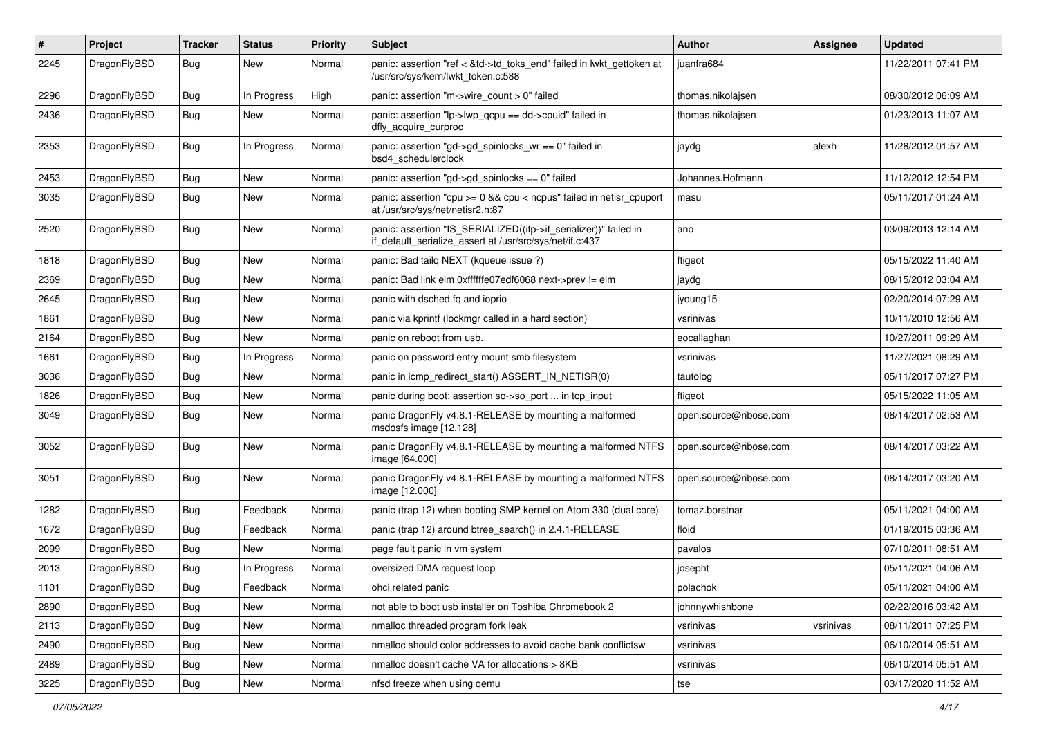| $\pmb{\#}$ | Project      | <b>Tracker</b> | <b>Status</b> | <b>Priority</b> | Subject                                                                                                                      | <b>Author</b>          | Assignee  | <b>Updated</b>      |
|------------|--------------|----------------|---------------|-----------------|------------------------------------------------------------------------------------------------------------------------------|------------------------|-----------|---------------------|
| 2245       | DragonFlyBSD | Bug            | New           | Normal          | panic: assertion "ref < &td->td_toks_end" failed in lwkt_gettoken at<br>/usr/src/sys/kern/lwkt_token.c:588                   | juanfra684             |           | 11/22/2011 07:41 PM |
| 2296       | DragonFlyBSD | <b>Bug</b>     | In Progress   | High            | panic: assertion "m->wire count > 0" failed                                                                                  | thomas.nikolajsen      |           | 08/30/2012 06:09 AM |
| 2436       | DragonFlyBSD | Bug            | New           | Normal          | panic: assertion "lp->lwp_qcpu == dd->cpuid" failed in<br>dfly_acquire_curproc                                               | thomas.nikolajsen      |           | 01/23/2013 11:07 AM |
| 2353       | DragonFlyBSD | <b>Bug</b>     | In Progress   | Normal          | panic: assertion "gd->gd_spinlocks_wr == 0" failed in<br>bsd4_schedulerclock                                                 | jaydg                  | alexh     | 11/28/2012 01:57 AM |
| 2453       | DragonFlyBSD | <b>Bug</b>     | <b>New</b>    | Normal          | panic: assertion "gd->gd_spinlocks == 0" failed                                                                              | Johannes.Hofmann       |           | 11/12/2012 12:54 PM |
| 3035       | DragonFlyBSD | Bug            | New           | Normal          | panic: assertion "cpu $>= 0$ && cpu $<$ ncpus" failed in netisr cpuport<br>at /usr/src/sys/net/netisr2.h:87                  | masu                   |           | 05/11/2017 01:24 AM |
| 2520       | DragonFlyBSD | Bug            | <b>New</b>    | Normal          | panic: assertion "IS_SERIALIZED((ifp->if_serializer))" failed in<br>if_default_serialize_assert at /usr/src/sys/net/if.c:437 | ano                    |           | 03/09/2013 12:14 AM |
| 1818       | DragonFlyBSD | Bug            | New           | Normal          | panic: Bad tailg NEXT (kqueue issue ?)                                                                                       | ftigeot                |           | 05/15/2022 11:40 AM |
| 2369       | DragonFlyBSD | Bug            | New           | Normal          | panic: Bad link elm 0xffffffe07edf6068 next->prev != elm                                                                     | jaydg                  |           | 08/15/2012 03:04 AM |
| 2645       | DragonFlyBSD | Bug            | New           | Normal          | panic with dsched fq and ioprio                                                                                              | jyoung15               |           | 02/20/2014 07:29 AM |
| 1861       | DragonFlyBSD | <b>Bug</b>     | <b>New</b>    | Normal          | panic via kprintf (lockmgr called in a hard section)                                                                         | vsrinivas              |           | 10/11/2010 12:56 AM |
| 2164       | DragonFlyBSD | Bug            | New           | Normal          | panic on reboot from usb.                                                                                                    | eocallaghan            |           | 10/27/2011 09:29 AM |
| 1661       | DragonFlyBSD | Bug            | In Progress   | Normal          | panic on password entry mount smb filesystem                                                                                 | vsrinivas              |           | 11/27/2021 08:29 AM |
| 3036       | DragonFlyBSD | Bug            | New           | Normal          | panic in icmp redirect start() ASSERT IN NETISR(0)                                                                           | tautolog               |           | 05/11/2017 07:27 PM |
| 1826       | DragonFlyBSD | Bug            | New           | Normal          | panic during boot: assertion so->so_port  in tcp_input                                                                       | ftigeot                |           | 05/15/2022 11:05 AM |
| 3049       | DragonFlyBSD | Bug            | <b>New</b>    | Normal          | panic DragonFly v4.8.1-RELEASE by mounting a malformed<br>msdosfs image [12.128]                                             | open.source@ribose.com |           | 08/14/2017 02:53 AM |
| 3052       | DragonFlyBSD | Bug            | New           | Normal          | panic DragonFly v4.8.1-RELEASE by mounting a malformed NTFS<br>image [64.000]                                                | open.source@ribose.com |           | 08/14/2017 03:22 AM |
| 3051       | DragonFlyBSD | Bug            | <b>New</b>    | Normal          | panic DragonFly v4.8.1-RELEASE by mounting a malformed NTFS<br>image [12.000]                                                | open.source@ribose.com |           | 08/14/2017 03:20 AM |
| 1282       | DragonFlyBSD | <b>Bug</b>     | Feedback      | Normal          | panic (trap 12) when booting SMP kernel on Atom 330 (dual core)                                                              | tomaz.borstnar         |           | 05/11/2021 04:00 AM |
| 1672       | DragonFlyBSD | Bug            | Feedback      | Normal          | panic (trap 12) around btree_search() in 2.4.1-RELEASE                                                                       | floid                  |           | 01/19/2015 03:36 AM |
| 2099       | DragonFlyBSD | Bug            | New           | Normal          | page fault panic in vm system                                                                                                | pavalos                |           | 07/10/2011 08:51 AM |
| 2013       | DragonFlyBSD | Bug            | In Progress   | Normal          | oversized DMA request loop                                                                                                   | josepht                |           | 05/11/2021 04:06 AM |
| 1101       | DragonFlyBSD | <b>Bug</b>     | Feedback      | Normal          | ohci related panic                                                                                                           | polachok               |           | 05/11/2021 04:00 AM |
| 2890       | DragonFlyBSD | <b>Bug</b>     | New           | Normal          | not able to boot usb installer on Toshiba Chromebook 2                                                                       | johnnywhishbone        |           | 02/22/2016 03:42 AM |
| 2113       | DragonFlyBSD | Bug            | New           | Normal          | nmalloc threaded program fork leak                                                                                           | vsrinivas              | vsrinivas | 08/11/2011 07:25 PM |
| 2490       | DragonFlyBSD | Bug            | New           | Normal          | nmalloc should color addresses to avoid cache bank conflictsw                                                                | vsrinivas              |           | 06/10/2014 05:51 AM |
| 2489       | DragonFlyBSD | Bug            | New           | Normal          | nmalloc doesn't cache VA for allocations > 8KB                                                                               | vsrinivas              |           | 06/10/2014 05:51 AM |
| 3225       | DragonFlyBSD | Bug            | New           | Normal          | nfsd freeze when using gemu                                                                                                  | tse                    |           | 03/17/2020 11:52 AM |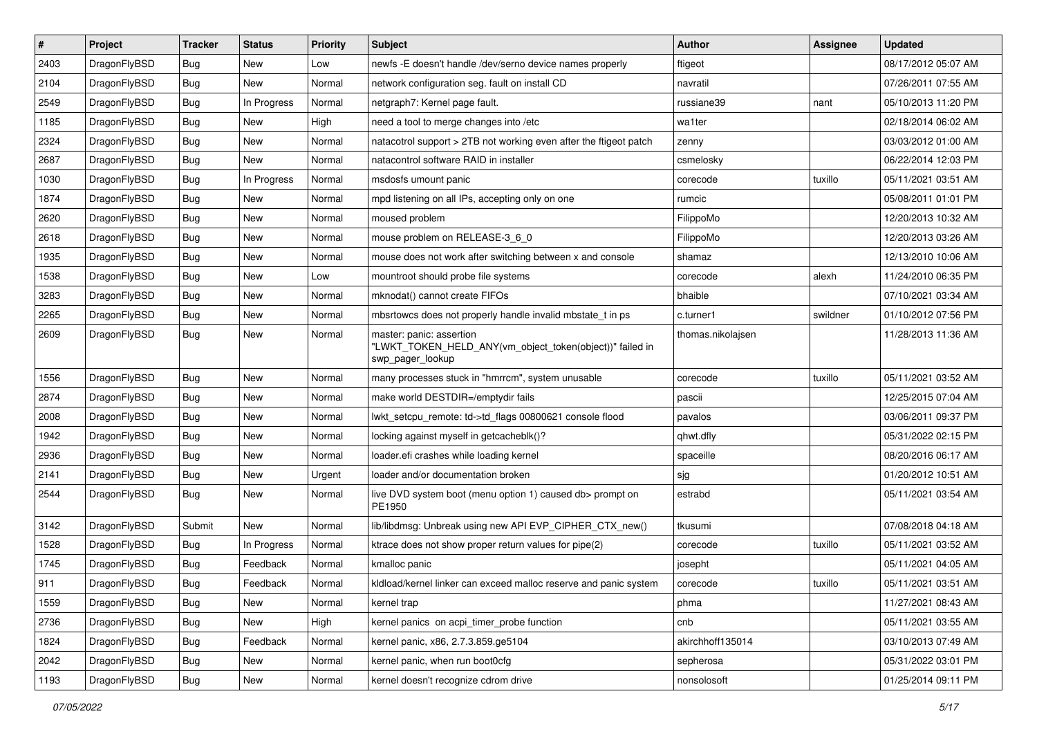| $\sharp$ | Project      | <b>Tracker</b> | <b>Status</b> | <b>Priority</b> | Subject                                                                                                  | <b>Author</b>     | Assignee | <b>Updated</b>      |
|----------|--------------|----------------|---------------|-----------------|----------------------------------------------------------------------------------------------------------|-------------------|----------|---------------------|
| 2403     | DragonFlyBSD | Bug            | New           | Low             | newfs - E doesn't handle /dev/serno device names properly                                                | ftigeot           |          | 08/17/2012 05:07 AM |
| 2104     | DragonFlyBSD | Bug            | <b>New</b>    | Normal          | network configuration seg. fault on install CD                                                           | navratil          |          | 07/26/2011 07:55 AM |
| 2549     | DragonFlyBSD | Bug            | In Progress   | Normal          | netgraph7: Kernel page fault.                                                                            | russiane39        | nant     | 05/10/2013 11:20 PM |
| 1185     | DragonFlyBSD | Bug            | <b>New</b>    | High            | need a tool to merge changes into /etc                                                                   | wa1ter            |          | 02/18/2014 06:02 AM |
| 2324     | DragonFlyBSD | Bug            | New           | Normal          | natacotrol support > 2TB not working even after the ftigeot patch                                        | zenny             |          | 03/03/2012 01:00 AM |
| 2687     | DragonFlyBSD | <b>Bug</b>     | <b>New</b>    | Normal          | natacontrol software RAID in installer                                                                   | csmelosky         |          | 06/22/2014 12:03 PM |
| 1030     | DragonFlyBSD | Bug            | In Progress   | Normal          | msdosfs umount panic                                                                                     | corecode          | tuxillo  | 05/11/2021 03:51 AM |
| 1874     | DragonFlyBSD | <b>Bug</b>     | <b>New</b>    | Normal          | mpd listening on all IPs, accepting only on one                                                          | rumcic            |          | 05/08/2011 01:01 PM |
| 2620     | DragonFlyBSD | Bug            | New           | Normal          | moused problem                                                                                           | FilippoMo         |          | 12/20/2013 10:32 AM |
| 2618     | DragonFlyBSD | Bug            | <b>New</b>    | Normal          | mouse problem on RELEASE-3_6_0                                                                           | FilippoMo         |          | 12/20/2013 03:26 AM |
| 1935     | DragonFlyBSD | Bug            | New           | Normal          | mouse does not work after switching between x and console                                                | shamaz            |          | 12/13/2010 10:06 AM |
| 1538     | DragonFlyBSD | Bug            | <b>New</b>    | Low             | mountroot should probe file systems                                                                      | corecode          | alexh    | 11/24/2010 06:35 PM |
| 3283     | DragonFlyBSD | Bug            | <b>New</b>    | Normal          | mknodat() cannot create FIFOs                                                                            | bhaible           |          | 07/10/2021 03:34 AM |
| 2265     | DragonFlyBSD | Bug            | New           | Normal          | mbsrtowcs does not properly handle invalid mbstate_t in ps                                               | c.turner1         | swildner | 01/10/2012 07:56 PM |
| 2609     | DragonFlyBSD | Bug            | New           | Normal          | master: panic: assertion<br>"LWKT_TOKEN_HELD_ANY(vm_object_token(object))" failed in<br>swp_pager_lookup | thomas.nikolajsen |          | 11/28/2013 11:36 AM |
| 1556     | DragonFlyBSD | Bug            | <b>New</b>    | Normal          | many processes stuck in "hmrrcm", system unusable                                                        | corecode          | tuxillo  | 05/11/2021 03:52 AM |
| 2874     | DragonFlyBSD | Bug            | New           | Normal          | make world DESTDIR=/emptydir fails                                                                       | pascii            |          | 12/25/2015 07:04 AM |
| 2008     | DragonFlyBSD | Bug            | <b>New</b>    | Normal          | lwkt_setcpu_remote: td->td_flags 00800621 console flood                                                  | pavalos           |          | 03/06/2011 09:37 PM |
| 1942     | DragonFlyBSD | <b>Bug</b>     | New           | Normal          | locking against myself in getcacheblk()?                                                                 | qhwt.dfly         |          | 05/31/2022 02:15 PM |
| 2936     | DragonFlyBSD | Bug            | New           | Normal          | loader.efi crashes while loading kernel                                                                  | spaceille         |          | 08/20/2016 06:17 AM |
| 2141     | DragonFlyBSD | Bug            | New           | Urgent          | loader and/or documentation broken                                                                       | sjg               |          | 01/20/2012 10:51 AM |
| 2544     | DragonFlyBSD | Bug            | New           | Normal          | live DVD system boot (menu option 1) caused db> prompt on<br>PE1950                                      | estrabd           |          | 05/11/2021 03:54 AM |
| 3142     | DragonFlyBSD | Submit         | New           | Normal          | lib/libdmsg: Unbreak using new API EVP_CIPHER_CTX_new()                                                  | tkusumi           |          | 07/08/2018 04:18 AM |
| 1528     | DragonFlyBSD | Bug            | In Progress   | Normal          | ktrace does not show proper return values for pipe(2)                                                    | corecode          | tuxillo  | 05/11/2021 03:52 AM |
| 1745     | DragonFlyBSD | Bug            | Feedback      | Normal          | kmalloc panic                                                                                            | josepht           |          | 05/11/2021 04:05 AM |
| 911      | DragonFlyBSD | Bug            | Feedback      | Normal          | kldload/kernel linker can exceed malloc reserve and panic system                                         | corecode          | tuxillo  | 05/11/2021 03:51 AM |
| 1559     | DragonFlyBSD | <b>Bug</b>     | <b>New</b>    | Normal          | kernel trap                                                                                              | phma              |          | 11/27/2021 08:43 AM |
| 2736     | DragonFlyBSD | Bug            | New           | High            | kernel panics on acpi_timer_probe function                                                               | cnb               |          | 05/11/2021 03:55 AM |
| 1824     | DragonFlyBSD | Bug            | Feedback      | Normal          | kernel panic, x86, 2.7.3.859.ge5104                                                                      | akirchhoff135014  |          | 03/10/2013 07:49 AM |
| 2042     | DragonFlyBSD | <b>Bug</b>     | New           | Normal          | kernel panic, when run boot0cfg                                                                          | sepherosa         |          | 05/31/2022 03:01 PM |
| 1193     | DragonFlyBSD | <b>Bug</b>     | New           | Normal          | kernel doesn't recognize cdrom drive                                                                     | nonsolosoft       |          | 01/25/2014 09:11 PM |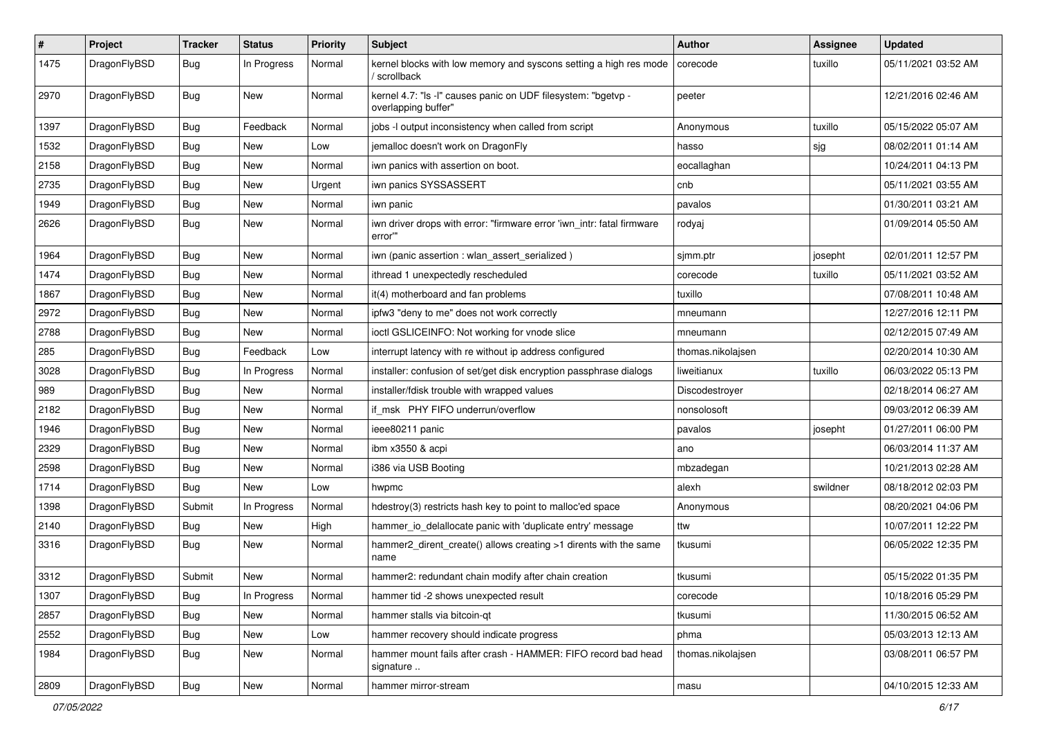| $\sharp$ | Project      | <b>Tracker</b> | <b>Status</b> | <b>Priority</b> | Subject                                                                              | <b>Author</b>     | Assignee | <b>Updated</b>      |
|----------|--------------|----------------|---------------|-----------------|--------------------------------------------------------------------------------------|-------------------|----------|---------------------|
| 1475     | DragonFlyBSD | Bug            | In Progress   | Normal          | kernel blocks with low memory and syscons setting a high res mode<br>/ scrollback    | corecode          | tuxillo  | 05/11/2021 03:52 AM |
| 2970     | DragonFlyBSD | Bug            | <b>New</b>    | Normal          | kernel 4.7: "Is -I" causes panic on UDF filesystem: "bgetvp -<br>overlapping buffer" | peeter            |          | 12/21/2016 02:46 AM |
| 1397     | DragonFlyBSD | Bug            | Feedback      | Normal          | jobs -I output inconsistency when called from script                                 | Anonymous         | tuxillo  | 05/15/2022 05:07 AM |
| 1532     | DragonFlyBSD | <b>Bug</b>     | New           | Low             | jemalloc doesn't work on DragonFly                                                   | hasso             | sjg      | 08/02/2011 01:14 AM |
| 2158     | DragonFlyBSD | Bug            | New           | Normal          | iwn panics with assertion on boot.                                                   | eocallaghan       |          | 10/24/2011 04:13 PM |
| 2735     | DragonFlyBSD | Bug            | New           | Urgent          | iwn panics SYSSASSERT                                                                | cnb               |          | 05/11/2021 03:55 AM |
| 1949     | DragonFlyBSD | Bug            | <b>New</b>    | Normal          | iwn panic                                                                            | pavalos           |          | 01/30/2011 03:21 AM |
| 2626     | DragonFlyBSD | Bug            | New           | Normal          | iwn driver drops with error: "firmware error 'iwn_intr: fatal firmware<br>error"     | rodyaj            |          | 01/09/2014 05:50 AM |
| 1964     | DragonFlyBSD | Bug            | <b>New</b>    | Normal          | iwn (panic assertion : wlan_assert_serialized)                                       | sjmm.ptr          | josepht  | 02/01/2011 12:57 PM |
| 1474     | DragonFlyBSD | Bug            | <b>New</b>    | Normal          | ithread 1 unexpectedly rescheduled                                                   | corecode          | tuxillo  | 05/11/2021 03:52 AM |
| 1867     | DragonFlyBSD | Bug            | New           | Normal          | it(4) motherboard and fan problems                                                   | tuxillo           |          | 07/08/2011 10:48 AM |
| 2972     | DragonFlyBSD | Bug            | New           | Normal          | ipfw3 "deny to me" does not work correctly                                           | mneumann          |          | 12/27/2016 12:11 PM |
| 2788     | DragonFlyBSD | Bug            | <b>New</b>    | Normal          | ioctl GSLICEINFO: Not working for vnode slice                                        | mneumann          |          | 02/12/2015 07:49 AM |
| 285      | DragonFlyBSD | Bug            | Feedback      | Low             | interrupt latency with re without ip address configured                              | thomas.nikolajsen |          | 02/20/2014 10:30 AM |
| 3028     | DragonFlyBSD | Bug            | In Progress   | Normal          | installer: confusion of set/get disk encryption passphrase dialogs                   | liweitianux       | tuxillo  | 06/03/2022 05:13 PM |
| 989      | DragonFlyBSD | Bug            | <b>New</b>    | Normal          | installer/fdisk trouble with wrapped values                                          | Discodestroyer    |          | 02/18/2014 06:27 AM |
| 2182     | DragonFlyBSD | Bug            | <b>New</b>    | Normal          | if msk PHY FIFO underrun/overflow                                                    | nonsolosoft       |          | 09/03/2012 06:39 AM |
| 1946     | DragonFlyBSD | Bug            | New           | Normal          | ieee80211 panic                                                                      | pavalos           | josepht  | 01/27/2011 06:00 PM |
| 2329     | DragonFlyBSD | Bug            | <b>New</b>    | Normal          | ibm x3550 & acpi                                                                     | ano               |          | 06/03/2014 11:37 AM |
| 2598     | DragonFlyBSD | Bug            | <b>New</b>    | Normal          | i386 via USB Booting                                                                 | mbzadegan         |          | 10/21/2013 02:28 AM |
| 1714     | DragonFlyBSD | Bug            | New           | Low             | hwpmc                                                                                | alexh             | swildner | 08/18/2012 02:03 PM |
| 1398     | DragonFlyBSD | Submit         | In Progress   | Normal          | hdestroy(3) restricts hash key to point to malloc'ed space                           | Anonymous         |          | 08/20/2021 04:06 PM |
| 2140     | DragonFlyBSD | Bug            | New           | High            | hammer_io_delallocate panic with 'duplicate entry' message                           | ttw               |          | 10/07/2011 12:22 PM |
| 3316     | DragonFlyBSD | Bug            | New           | Normal          | hammer2_dirent_create() allows creating >1 dirents with the same<br>name             | tkusumi           |          | 06/05/2022 12:35 PM |
| 3312     | DragonFlyBSD | Submit         | <b>New</b>    | Normal          | hammer2: redundant chain modify after chain creation                                 | tkusumi           |          | 05/15/2022 01:35 PM |
| 1307     | DragonFlyBSD | <b>Bug</b>     | In Progress   | Normal          | hammer tid -2 shows unexpected result                                                | corecode          |          | 10/18/2016 05:29 PM |
| 2857     | DragonFlyBSD | <b>Bug</b>     | <b>New</b>    | Normal          | hammer stalls via bitcoin-qt                                                         | tkusumi           |          | 11/30/2015 06:52 AM |
| 2552     | DragonFlyBSD | <b>Bug</b>     | New           | Low             | hammer recovery should indicate progress                                             | phma              |          | 05/03/2013 12:13 AM |
| 1984     | DragonFlyBSD | <b>Bug</b>     | New           | Normal          | hammer mount fails after crash - HAMMER: FIFO record bad head<br>signature           | thomas.nikolajsen |          | 03/08/2011 06:57 PM |
| 2809     | DragonFlyBSD | Bug            | New           | Normal          | hammer mirror-stream                                                                 | masu              |          | 04/10/2015 12:33 AM |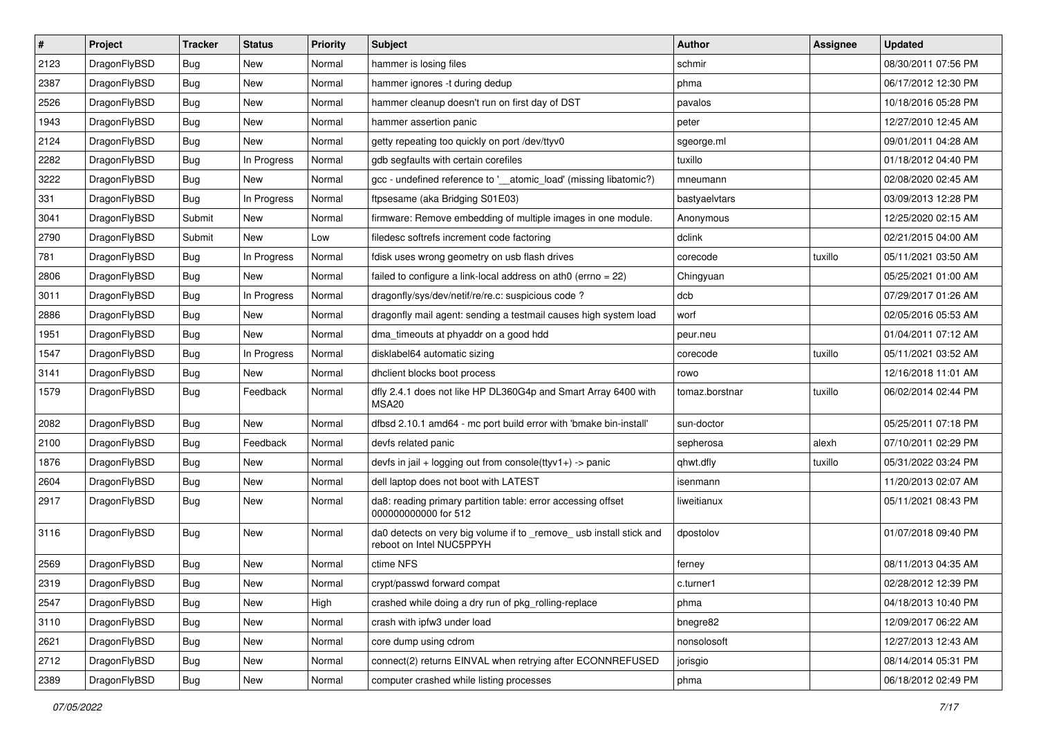| $\sharp$ | Project      | <b>Tracker</b> | <b>Status</b> | <b>Priority</b> | Subject                                                                                         | <b>Author</b>  | Assignee | <b>Updated</b>      |
|----------|--------------|----------------|---------------|-----------------|-------------------------------------------------------------------------------------------------|----------------|----------|---------------------|
| 2123     | DragonFlyBSD | Bug            | New           | Normal          | hammer is losing files                                                                          | schmir         |          | 08/30/2011 07:56 PM |
| 2387     | DragonFlyBSD | Bug            | New           | Normal          | hammer ignores -t during dedup                                                                  | phma           |          | 06/17/2012 12:30 PM |
| 2526     | DragonFlyBSD | Bug            | New           | Normal          | hammer cleanup doesn't run on first day of DST                                                  | pavalos        |          | 10/18/2016 05:28 PM |
| 1943     | DragonFlyBSD | Bug            | <b>New</b>    | Normal          | hammer assertion panic                                                                          | peter          |          | 12/27/2010 12:45 AM |
| 2124     | DragonFlyBSD | Bug            | <b>New</b>    | Normal          | getty repeating too quickly on port /dev/ttyv0                                                  | sgeorge.ml     |          | 09/01/2011 04:28 AM |
| 2282     | DragonFlyBSD | Bug            | In Progress   | Normal          | gdb segfaults with certain corefiles                                                            | tuxillo        |          | 01/18/2012 04:40 PM |
| 3222     | DragonFlyBSD | Bug            | <b>New</b>    | Normal          | gcc - undefined reference to '__atomic_load' (missing libatomic?)                               | mneumann       |          | 02/08/2020 02:45 AM |
| 331      | DragonFlyBSD | <b>Bug</b>     | In Progress   | Normal          | ftpsesame (aka Bridging S01E03)                                                                 | bastyaelvtars  |          | 03/09/2013 12:28 PM |
| 3041     | DragonFlyBSD | Submit         | <b>New</b>    | Normal          | firmware: Remove embedding of multiple images in one module.                                    | Anonymous      |          | 12/25/2020 02:15 AM |
| 2790     | DragonFlyBSD | Submit         | New           | Low             | filedesc softrefs increment code factoring                                                      | dclink         |          | 02/21/2015 04:00 AM |
| 781      | DragonFlyBSD | <b>Bug</b>     | In Progress   | Normal          | fdisk uses wrong geometry on usb flash drives                                                   | corecode       | tuxillo  | 05/11/2021 03:50 AM |
| 2806     | DragonFlyBSD | <b>Bug</b>     | <b>New</b>    | Normal          | failed to configure a link-local address on ath0 (errno = 22)                                   | Chingyuan      |          | 05/25/2021 01:00 AM |
| 3011     | DragonFlyBSD | Bug            | In Progress   | Normal          | dragonfly/sys/dev/netif/re/re.c: suspicious code?                                               | dcb            |          | 07/29/2017 01:26 AM |
| 2886     | DragonFlyBSD | <b>Bug</b>     | New           | Normal          | dragonfly mail agent: sending a testmail causes high system load                                | worf           |          | 02/05/2016 05:53 AM |
| 1951     | DragonFlyBSD | <b>Bug</b>     | New           | Normal          | dma_timeouts at phyaddr on a good hdd                                                           | peur.neu       |          | 01/04/2011 07:12 AM |
| 1547     | DragonFlyBSD | <b>Bug</b>     | In Progress   | Normal          | disklabel64 automatic sizing                                                                    | corecode       | tuxillo  | 05/11/2021 03:52 AM |
| 3141     | DragonFlyBSD | <b>Bug</b>     | New           | Normal          | dhclient blocks boot process                                                                    | rowo           |          | 12/16/2018 11:01 AM |
| 1579     | DragonFlyBSD | <b>Bug</b>     | Feedback      | Normal          | dfly 2.4.1 does not like HP DL360G4p and Smart Array 6400 with<br>MSA20                         | tomaz.borstnar | tuxillo  | 06/02/2014 02:44 PM |
| 2082     | DragonFlyBSD | <b>Bug</b>     | <b>New</b>    | Normal          | dfbsd 2.10.1 amd64 - mc port build error with 'bmake bin-install'                               | sun-doctor     |          | 05/25/2011 07:18 PM |
| 2100     | DragonFlyBSD | Bug            | Feedback      | Normal          | devfs related panic                                                                             | sepherosa      | alexh    | 07/10/2011 02:29 PM |
| 1876     | DragonFlyBSD | <b>Bug</b>     | New           | Normal          | devfs in jail + logging out from console(ttyv1+) -> panic                                       | qhwt.dfly      | tuxillo  | 05/31/2022 03:24 PM |
| 2604     | DragonFlyBSD | <b>Bug</b>     | <b>New</b>    | Normal          | dell laptop does not boot with LATEST                                                           | isenmann       |          | 11/20/2013 02:07 AM |
| 2917     | DragonFlyBSD | <b>Bug</b>     | New           | Normal          | da8: reading primary partition table: error accessing offset<br>000000000000 for 512            | liweitianux    |          | 05/11/2021 08:43 PM |
| 3116     | DragonFlyBSD | <b>Bug</b>     | New           | Normal          | da0 detects on very big volume if to _remove_ usb install stick and<br>reboot on Intel NUC5PPYH | dpostolov      |          | 01/07/2018 09:40 PM |
| 2569     | DragonFlyBSD | <b>Bug</b>     | New           | Normal          | ctime NFS                                                                                       | ferney         |          | 08/11/2013 04:35 AM |
| 2319     | DragonFlyBSD | Bug            | <b>New</b>    | Normal          | crypt/passwd forward compat                                                                     | c.turner1      |          | 02/28/2012 12:39 PM |
| 2547     | DragonFlyBSD | <b>Bug</b>     | <b>New</b>    | High            | crashed while doing a dry run of pkg rolling-replace                                            | phma           |          | 04/18/2013 10:40 PM |
| 3110     | DragonFlyBSD | <b>Bug</b>     | <b>New</b>    | Normal          | crash with ipfw3 under load                                                                     | bnegre82       |          | 12/09/2017 06:22 AM |
| 2621     | DragonFlyBSD | Bug            | New           | Normal          | core dump using cdrom                                                                           | nonsolosoft    |          | 12/27/2013 12:43 AM |
| 2712     | DragonFlyBSD | Bug            | New           | Normal          | connect(2) returns EINVAL when retrying after ECONNREFUSED                                      | jorisgio       |          | 08/14/2014 05:31 PM |
| 2389     | DragonFlyBSD | <b>Bug</b>     | New           | Normal          | computer crashed while listing processes                                                        | phma           |          | 06/18/2012 02:49 PM |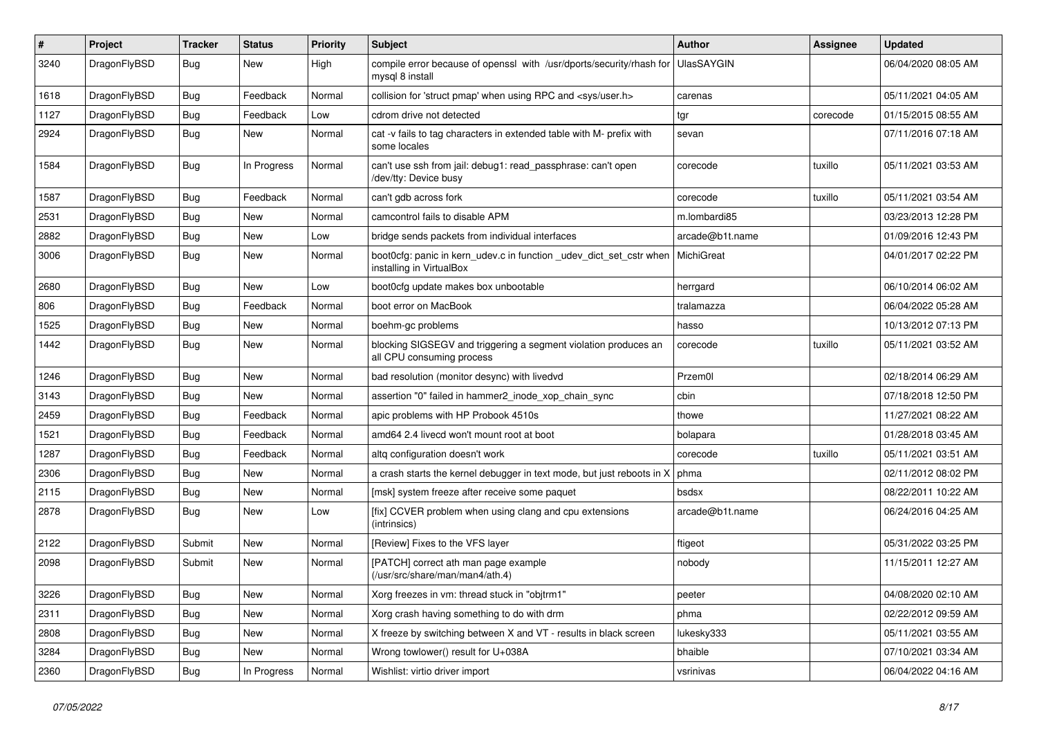| #    | Project      | <b>Tracker</b> | <b>Status</b> | <b>Priority</b> | Subject                                                                                         | <b>Author</b>     | Assignee | <b>Updated</b>      |
|------|--------------|----------------|---------------|-----------------|-------------------------------------------------------------------------------------------------|-------------------|----------|---------------------|
| 3240 | DragonFlyBSD | <b>Bug</b>     | New           | High            | compile error because of openssl with /usr/dports/security/rhash for<br>mysql 8 install         | <b>UlasSAYGIN</b> |          | 06/04/2020 08:05 AM |
| 1618 | DragonFlyBSD | <b>Bug</b>     | Feedback      | Normal          | collision for 'struct pmap' when using RPC and <sys user.h=""></sys>                            | carenas           |          | 05/11/2021 04:05 AM |
| 1127 | DragonFlyBSD | <b>Bug</b>     | Feedback      | Low             | cdrom drive not detected                                                                        | tgr               | corecode | 01/15/2015 08:55 AM |
| 2924 | DragonFlyBSD | <b>Bug</b>     | New           | Normal          | cat -v fails to tag characters in extended table with M- prefix with<br>some locales            | sevan             |          | 07/11/2016 07:18 AM |
| 1584 | DragonFlyBSD | <b>Bug</b>     | In Progress   | Normal          | can't use ssh from jail: debug1: read_passphrase: can't open<br>/dev/tty: Device busy           | corecode          | tuxillo  | 05/11/2021 03:53 AM |
| 1587 | DragonFlyBSD | <b>Bug</b>     | Feedback      | Normal          | can't gdb across fork                                                                           | corecode          | tuxillo  | 05/11/2021 03:54 AM |
| 2531 | DragonFlyBSD | Bug            | New           | Normal          | camcontrol fails to disable APM                                                                 | m.lombardi85      |          | 03/23/2013 12:28 PM |
| 2882 | DragonFlyBSD | <b>Bug</b>     | New           | Low             | bridge sends packets from individual interfaces                                                 | arcade@b1t.name   |          | 01/09/2016 12:43 PM |
| 3006 | DragonFlyBSD | <b>Bug</b>     | <b>New</b>    | Normal          | boot0cfg: panic in kern_udev.c in function _udev_dict_set_cstr when<br>installing in VirtualBox | MichiGreat        |          | 04/01/2017 02:22 PM |
| 2680 | DragonFlyBSD | Bug            | New           | Low             | boot0cfg update makes box unbootable                                                            | herrgard          |          | 06/10/2014 06:02 AM |
| 806  | DragonFlyBSD | <b>Bug</b>     | Feedback      | Normal          | boot error on MacBook                                                                           | tralamazza        |          | 06/04/2022 05:28 AM |
| 1525 | DragonFlyBSD | <b>Bug</b>     | New           | Normal          | boehm-gc problems                                                                               | hasso             |          | 10/13/2012 07:13 PM |
| 1442 | DragonFlyBSD | <b>Bug</b>     | New           | Normal          | blocking SIGSEGV and triggering a segment violation produces an<br>all CPU consuming process    | corecode          | tuxillo  | 05/11/2021 03:52 AM |
| 1246 | DragonFlyBSD | Bug            | <b>New</b>    | Normal          | bad resolution (monitor desync) with livedvd                                                    | Przem0l           |          | 02/18/2014 06:29 AM |
| 3143 | DragonFlyBSD | <b>Bug</b>     | <b>New</b>    | Normal          | assertion "0" failed in hammer2 inode xop chain sync                                            | cbin              |          | 07/18/2018 12:50 PM |
| 2459 | DragonFlyBSD | Bug            | Feedback      | Normal          | apic problems with HP Probook 4510s                                                             | thowe             |          | 11/27/2021 08:22 AM |
| 1521 | DragonFlyBSD | <b>Bug</b>     | Feedback      | Normal          | amd64 2.4 livecd won't mount root at boot                                                       | bolapara          |          | 01/28/2018 03:45 AM |
| 1287 | DragonFlyBSD | Bug            | Feedback      | Normal          | altg configuration doesn't work                                                                 | corecode          | tuxillo  | 05/11/2021 03:51 AM |
| 2306 | DragonFlyBSD | <b>Bug</b>     | New           | Normal          | a crash starts the kernel debugger in text mode, but just reboots in X                          | phma              |          | 02/11/2012 08:02 PM |
| 2115 | DragonFlyBSD | <b>Bug</b>     | New           | Normal          | [msk] system freeze after receive some paquet                                                   | bsdsx             |          | 08/22/2011 10:22 AM |
| 2878 | DragonFlyBSD | Bug            | New           | Low             | [fix] CCVER problem when using clang and cpu extensions<br>(intrinsics)                         | arcade@b1t.name   |          | 06/24/2016 04:25 AM |
| 2122 | DragonFlyBSD | Submit         | New           | Normal          | [Review] Fixes to the VFS layer                                                                 | ftigeot           |          | 05/31/2022 03:25 PM |
| 2098 | DragonFlyBSD | Submit         | New           | Normal          | [PATCH] correct ath man page example<br>(/usr/src/share/man/man4/ath.4)                         | nobody            |          | 11/15/2011 12:27 AM |
| 3226 | DragonFlyBSD | <b>Bug</b>     | <b>New</b>    | Normal          | Xorg freezes in vm: thread stuck in "objtrm1"                                                   | peeter            |          | 04/08/2020 02:10 AM |
| 2311 | DragonFlyBSD | <b>Bug</b>     | New           | Normal          | Xorg crash having something to do with drm                                                      | phma              |          | 02/22/2012 09:59 AM |
| 2808 | DragonFlyBSD | <b>Bug</b>     | New           | Normal          | X freeze by switching between X and VT - results in black screen                                | lukesky333        |          | 05/11/2021 03:55 AM |
| 3284 | DragonFlyBSD | <b>Bug</b>     | New           | Normal          | Wrong towlower() result for U+038A                                                              | bhaible           |          | 07/10/2021 03:34 AM |
| 2360 | DragonFlyBSD | <b>Bug</b>     | In Progress   | Normal          | Wishlist: virtio driver import                                                                  | vsrinivas         |          | 06/04/2022 04:16 AM |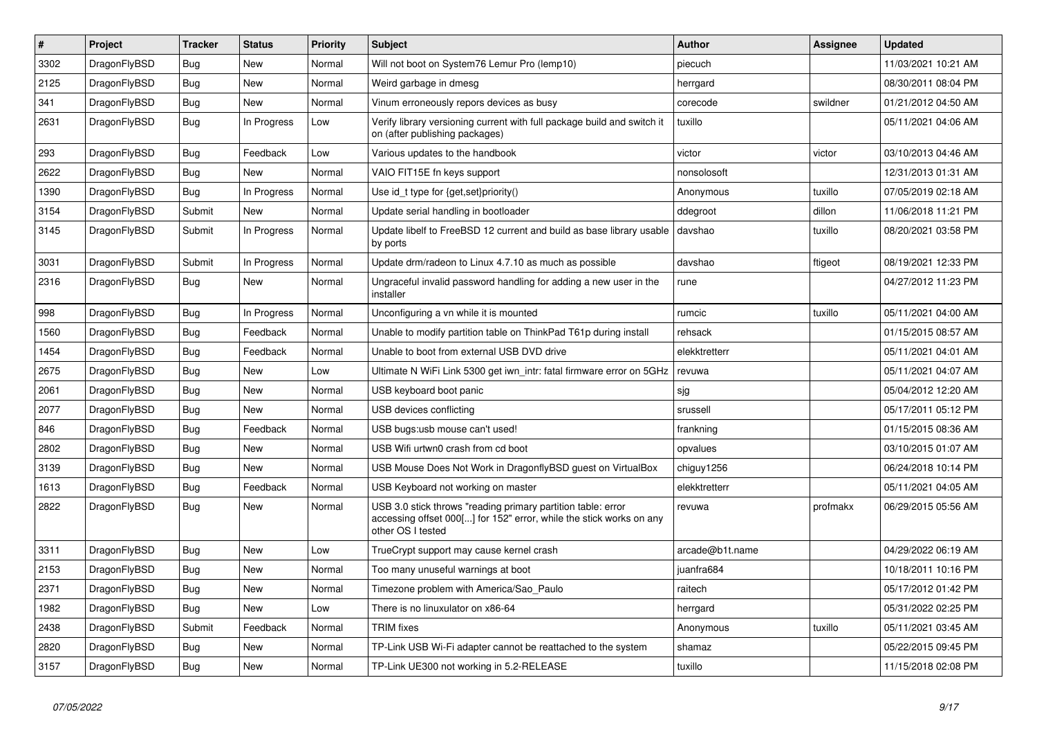| $\vert$ # | <b>Project</b> | <b>Tracker</b> | <b>Status</b> | <b>Priority</b> | <b>Subject</b>                                                                                                                                           | <b>Author</b>   | Assignee | <b>Updated</b>      |
|-----------|----------------|----------------|---------------|-----------------|----------------------------------------------------------------------------------------------------------------------------------------------------------|-----------------|----------|---------------------|
| 3302      | DragonFlyBSD   | Bug            | <b>New</b>    | Normal          | Will not boot on System76 Lemur Pro (lemp10)                                                                                                             | piecuch         |          | 11/03/2021 10:21 AM |
| 2125      | DragonFlyBSD   | <b>Bug</b>     | <b>New</b>    | Normal          | Weird garbage in dmesg                                                                                                                                   | herrgard        |          | 08/30/2011 08:04 PM |
| 341       | DragonFlyBSD   | <b>Bug</b>     | <b>New</b>    | Normal          | Vinum erroneously repors devices as busy                                                                                                                 | corecode        | swildner | 01/21/2012 04:50 AM |
| 2631      | DragonFlyBSD   | Bug            | In Progress   | Low             | Verify library versioning current with full package build and switch it<br>on (after publishing packages)                                                | tuxillo         |          | 05/11/2021 04:06 AM |
| 293       | DragonFlyBSD   | <b>Bug</b>     | Feedback      | Low             | Various updates to the handbook                                                                                                                          | victor          | victor   | 03/10/2013 04:46 AM |
| 2622      | DragonFlyBSD   | Bug            | New           | Normal          | VAIO FIT15E fn keys support                                                                                                                              | nonsolosoft     |          | 12/31/2013 01:31 AM |
| 1390      | DragonFlyBSD   | Bug            | In Progress   | Normal          | Use id t type for $\{get, set\}$ priority $()$                                                                                                           | Anonymous       | tuxillo  | 07/05/2019 02:18 AM |
| 3154      | DragonFlyBSD   | Submit         | New           | Normal          | Update serial handling in bootloader                                                                                                                     | ddegroot        | dillon   | 11/06/2018 11:21 PM |
| 3145      | DragonFlyBSD   | Submit         | In Progress   | Normal          | Update libelf to FreeBSD 12 current and build as base library usable<br>by ports                                                                         | davshao         | tuxillo  | 08/20/2021 03:58 PM |
| 3031      | DragonFlyBSD   | Submit         | In Progress   | Normal          | Update drm/radeon to Linux 4.7.10 as much as possible                                                                                                    | davshao         | ftigeot  | 08/19/2021 12:33 PM |
| 2316      | DragonFlyBSD   | <b>Bug</b>     | <b>New</b>    | Normal          | Ungraceful invalid password handling for adding a new user in the<br>installer                                                                           | rune            |          | 04/27/2012 11:23 PM |
| 998       | DragonFlyBSD   | <b>Bug</b>     | In Progress   | Normal          | Unconfiguring a vn while it is mounted                                                                                                                   | rumcic          | tuxillo  | 05/11/2021 04:00 AM |
| 1560      | DragonFlyBSD   | <b>Bug</b>     | Feedback      | Normal          | Unable to modify partition table on ThinkPad T61p during install                                                                                         | rehsack         |          | 01/15/2015 08:57 AM |
| 1454      | DragonFlyBSD   | Bug            | Feedback      | Normal          | Unable to boot from external USB DVD drive                                                                                                               | elekktretterr   |          | 05/11/2021 04:01 AM |
| 2675      | DragonFlyBSD   | <b>Bug</b>     | <b>New</b>    | Low             | Ultimate N WiFi Link 5300 get iwn_intr: fatal firmware error on 5GHz                                                                                     | revuwa          |          | 05/11/2021 04:07 AM |
| 2061      | DragonFlyBSD   | Bug            | New           | Normal          | USB keyboard boot panic                                                                                                                                  | sjg             |          | 05/04/2012 12:20 AM |
| 2077      | DragonFlyBSD   | <b>Bug</b>     | <b>New</b>    | Normal          | USB devices conflicting                                                                                                                                  | srussell        |          | 05/17/2011 05:12 PM |
| 846       | DragonFlyBSD   | Bug            | Feedback      | Normal          | USB bugs:usb mouse can't used!                                                                                                                           | frankning       |          | 01/15/2015 08:36 AM |
| 2802      | DragonFlyBSD   | <b>Bug</b>     | <b>New</b>    | Normal          | USB Wifi urtwn0 crash from cd boot                                                                                                                       | opvalues        |          | 03/10/2015 01:07 AM |
| 3139      | DragonFlyBSD   | Bug            | <b>New</b>    | Normal          | USB Mouse Does Not Work in DragonflyBSD guest on VirtualBox                                                                                              | chiguy1256      |          | 06/24/2018 10:14 PM |
| 1613      | DragonFlyBSD   | <b>Bug</b>     | Feedback      | Normal          | USB Keyboard not working on master                                                                                                                       | elekktretterr   |          | 05/11/2021 04:05 AM |
| 2822      | DragonFlyBSD   | <b>Bug</b>     | <b>New</b>    | Normal          | USB 3.0 stick throws "reading primary partition table: error<br>accessing offset 000[] for 152" error, while the stick works on any<br>other OS I tested | revuwa          | profmakx | 06/29/2015 05:56 AM |
| 3311      | DragonFlyBSD   | <b>Bug</b>     | <b>New</b>    | Low             | TrueCrypt support may cause kernel crash                                                                                                                 | arcade@b1t.name |          | 04/29/2022 06:19 AM |
| 2153      | DragonFlyBSD   | <b>Bug</b>     | <b>New</b>    | Normal          | Too many unuseful warnings at boot                                                                                                                       | juanfra684      |          | 10/18/2011 10:16 PM |
| 2371      | DragonFlyBSD   | Bug            | <b>New</b>    | Normal          | Timezone problem with America/Sao Paulo                                                                                                                  | raitech         |          | 05/17/2012 01:42 PM |
| 1982      | DragonFlyBSD   | Bug            | <b>New</b>    | Low             | There is no linuxulator on x86-64                                                                                                                        | herrgard        |          | 05/31/2022 02:25 PM |
| 2438      | DragonFlyBSD   | Submit         | Feedback      | Normal          | <b>TRIM</b> fixes                                                                                                                                        | Anonymous       | tuxillo  | 05/11/2021 03:45 AM |
| 2820      | DragonFlyBSD   | Bug            | <b>New</b>    | Normal          | TP-Link USB Wi-Fi adapter cannot be reattached to the system                                                                                             | shamaz          |          | 05/22/2015 09:45 PM |
| 3157      | DragonFlyBSD   | Bug            | <b>New</b>    | Normal          | TP-Link UE300 not working in 5.2-RELEASE                                                                                                                 | tuxillo         |          | 11/15/2018 02:08 PM |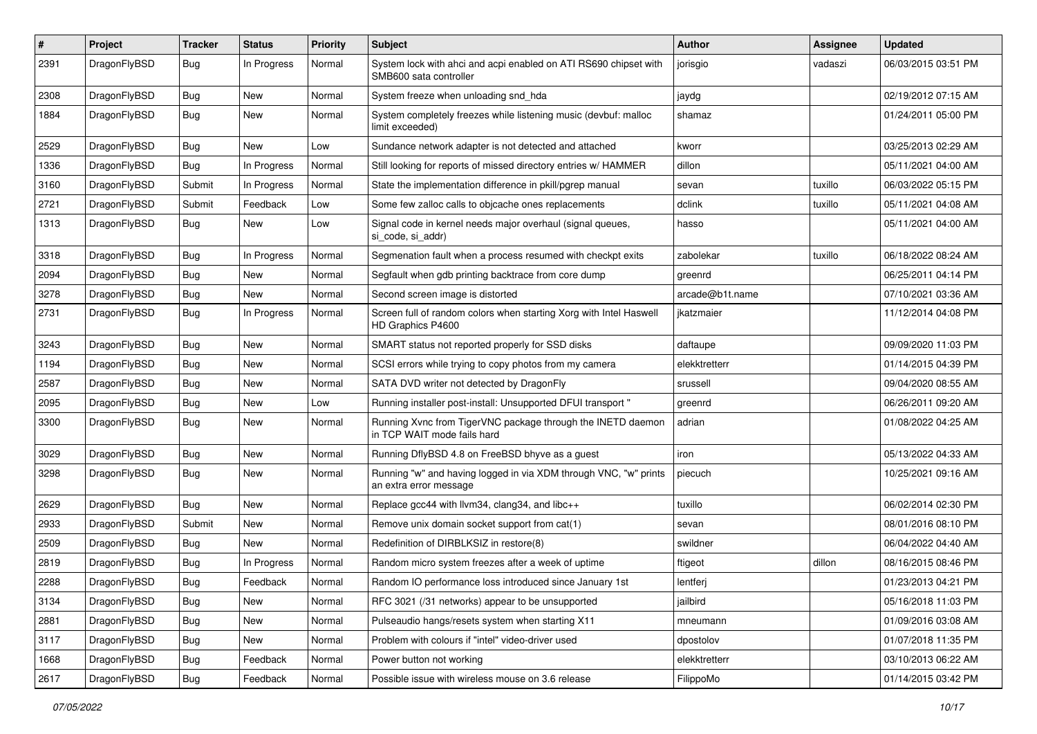| $\#$ | Project      | <b>Tracker</b> | <b>Status</b> | <b>Priority</b> | Subject                                                                                    | <b>Author</b>   | Assignee | <b>Updated</b>      |
|------|--------------|----------------|---------------|-----------------|--------------------------------------------------------------------------------------------|-----------------|----------|---------------------|
| 2391 | DragonFlyBSD | Bug            | In Progress   | Normal          | System lock with ahci and acpi enabled on ATI RS690 chipset with<br>SMB600 sata controller | jorisgio        | vadaszi  | 06/03/2015 03:51 PM |
| 2308 | DragonFlyBSD | <b>Bug</b>     | <b>New</b>    | Normal          | System freeze when unloading snd_hda                                                       | jaydg           |          | 02/19/2012 07:15 AM |
| 1884 | DragonFlyBSD | Bug            | New           | Normal          | System completely freezes while listening music (devbuf: malloc<br>limit exceeded)         | shamaz          |          | 01/24/2011 05:00 PM |
| 2529 | DragonFlyBSD | <b>Bug</b>     | <b>New</b>    | Low             | Sundance network adapter is not detected and attached                                      | kworr           |          | 03/25/2013 02:29 AM |
| 1336 | DragonFlyBSD | Bug            | In Progress   | Normal          | Still looking for reports of missed directory entries w/ HAMMER                            | dillon          |          | 05/11/2021 04:00 AM |
| 3160 | DragonFlyBSD | Submit         | In Progress   | Normal          | State the implementation difference in pkill/pgrep manual                                  | sevan           | tuxillo  | 06/03/2022 05:15 PM |
| 2721 | DragonFlyBSD | Submit         | Feedback      | Low             | Some few zalloc calls to objcache ones replacements                                        | dclink          | tuxillo  | 05/11/2021 04:08 AM |
| 1313 | DragonFlyBSD | <b>Bug</b>     | New           | Low             | Signal code in kernel needs major overhaul (signal queues,<br>si_code, si_addr)            | hasso           |          | 05/11/2021 04:00 AM |
| 3318 | DragonFlyBSD | Bug            | In Progress   | Normal          | Segmenation fault when a process resumed with checkpt exits                                | zabolekar       | tuxillo  | 06/18/2022 08:24 AM |
| 2094 | DragonFlyBSD | Bug            | <b>New</b>    | Normal          | Segfault when gdb printing backtrace from core dump                                        | greenrd         |          | 06/25/2011 04:14 PM |
| 3278 | DragonFlyBSD | Bug            | New           | Normal          | Second screen image is distorted                                                           | arcade@b1t.name |          | 07/10/2021 03:36 AM |
| 2731 | DragonFlyBSD | Bug            | In Progress   | Normal          | Screen full of random colors when starting Xorg with Intel Haswell<br>HD Graphics P4600    | jkatzmaier      |          | 11/12/2014 04:08 PM |
| 3243 | DragonFlyBSD | Bug            | <b>New</b>    | Normal          | SMART status not reported properly for SSD disks                                           | daftaupe        |          | 09/09/2020 11:03 PM |
| 1194 | DragonFlyBSD | <b>Bug</b>     | <b>New</b>    | Normal          | SCSI errors while trying to copy photos from my camera                                     | elekktretterr   |          | 01/14/2015 04:39 PM |
| 2587 | DragonFlyBSD | <b>Bug</b>     | New           | Normal          | SATA DVD writer not detected by DragonFly                                                  | srussell        |          | 09/04/2020 08:55 AM |
| 2095 | DragonFlyBSD | <b>Bug</b>     | New           | Low             | Running installer post-install: Unsupported DFUI transport "                               | greenrd         |          | 06/26/2011 09:20 AM |
| 3300 | DragonFlyBSD | Bug            | <b>New</b>    | Normal          | Running Xvnc from TigerVNC package through the INETD daemon<br>in TCP WAIT mode fails hard | adrian          |          | 01/08/2022 04:25 AM |
| 3029 | DragonFlyBSD | Bug            | <b>New</b>    | Normal          | Running DflyBSD 4.8 on FreeBSD bhyve as a guest                                            | iron            |          | 05/13/2022 04:33 AM |
| 3298 | DragonFlyBSD | <b>Bug</b>     | New           | Normal          | Running "w" and having logged in via XDM through VNC, "w" prints<br>an extra error message | piecuch         |          | 10/25/2021 09:16 AM |
| 2629 | DragonFlyBSD | Bug            | <b>New</b>    | Normal          | Replace gcc44 with llvm34, clang34, and libc++                                             | tuxillo         |          | 06/02/2014 02:30 PM |
| 2933 | DragonFlyBSD | Submit         | New           | Normal          | Remove unix domain socket support from cat(1)                                              | sevan           |          | 08/01/2016 08:10 PM |
| 2509 | DragonFlyBSD | <b>Bug</b>     | New           | Normal          | Redefinition of DIRBLKSIZ in restore(8)                                                    | swildner        |          | 06/04/2022 04:40 AM |
| 2819 | DragonFlyBSD | Bug            | In Progress   | Normal          | Random micro system freezes after a week of uptime                                         | ftigeot         | dillon   | 08/16/2015 08:46 PM |
| 2288 | DragonFlyBSD | Bug            | Feedback      | Normal          | Random IO performance loss introduced since January 1st                                    | lentferi        |          | 01/23/2013 04:21 PM |
| 3134 | DragonFlyBSD | Bug            | New           | Normal          | RFC 3021 (/31 networks) appear to be unsupported                                           | jailbird        |          | 05/16/2018 11:03 PM |
| 2881 | DragonFlyBSD | Bug            | New           | Normal          | Pulseaudio hangs/resets system when starting X11                                           | mneumann        |          | 01/09/2016 03:08 AM |
| 3117 | DragonFlyBSD | <b>Bug</b>     | New           | Normal          | Problem with colours if "intel" video-driver used                                          | dpostolov       |          | 01/07/2018 11:35 PM |
| 1668 | DragonFlyBSD | <b>Bug</b>     | Feedback      | Normal          | Power button not working                                                                   | elekktretterr   |          | 03/10/2013 06:22 AM |
| 2617 | DragonFlyBSD | <b>Bug</b>     | Feedback      | Normal          | Possible issue with wireless mouse on 3.6 release                                          | FilippoMo       |          | 01/14/2015 03:42 PM |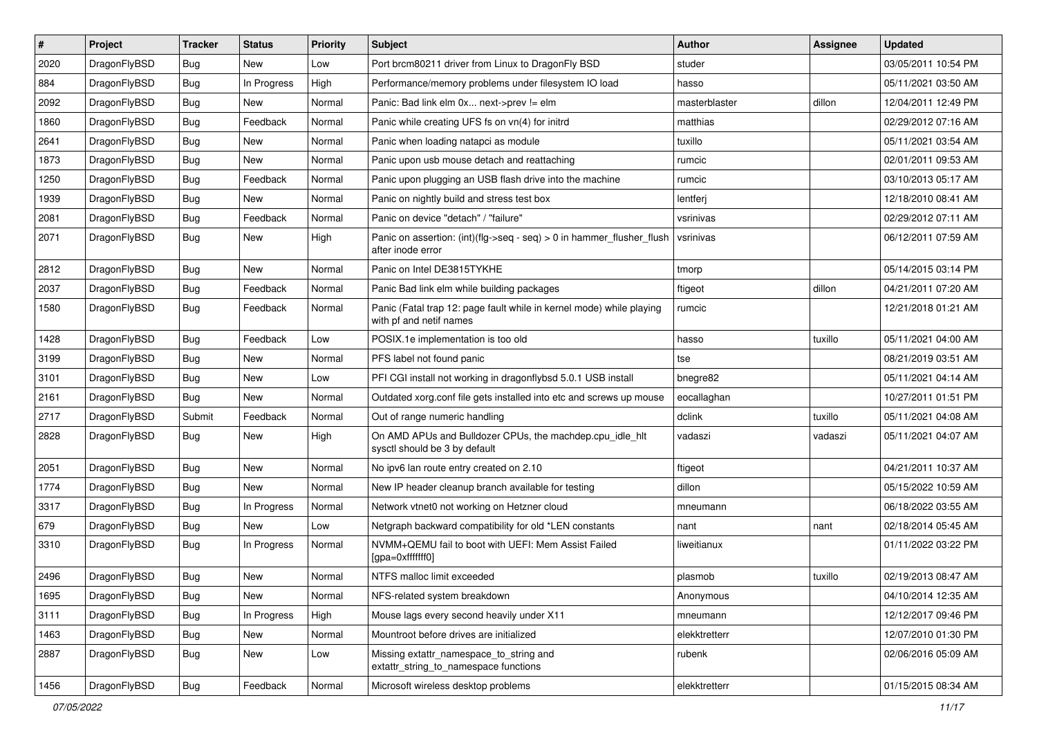| $\vert$ # | Project      | <b>Tracker</b> | <b>Status</b> | <b>Priority</b> | Subject                                                                                         | <b>Author</b> | Assignee | <b>Updated</b>      |
|-----------|--------------|----------------|---------------|-----------------|-------------------------------------------------------------------------------------------------|---------------|----------|---------------------|
| 2020      | DragonFlyBSD | Bug            | New           | Low             | Port brcm80211 driver from Linux to DragonFly BSD                                               | studer        |          | 03/05/2011 10:54 PM |
| 884       | DragonFlyBSD | Bug            | In Progress   | High            | Performance/memory problems under filesystem IO load                                            | hasso         |          | 05/11/2021 03:50 AM |
| 2092      | DragonFlyBSD | Bug            | New           | Normal          | Panic: Bad link elm 0x next->prev != elm                                                        | masterblaster | dillon   | 12/04/2011 12:49 PM |
| 1860      | DragonFlyBSD | Bug            | Feedback      | Normal          | Panic while creating UFS fs on vn(4) for initrd                                                 | matthias      |          | 02/29/2012 07:16 AM |
| 2641      | DragonFlyBSD | Bug            | New           | Normal          | Panic when loading natapci as module                                                            | tuxillo       |          | 05/11/2021 03:54 AM |
| 1873      | DragonFlyBSD | Bug            | New           | Normal          | Panic upon usb mouse detach and reattaching                                                     | rumcic        |          | 02/01/2011 09:53 AM |
| 1250      | DragonFlyBSD | Bug            | Feedback      | Normal          | Panic upon plugging an USB flash drive into the machine                                         | rumcic        |          | 03/10/2013 05:17 AM |
| 1939      | DragonFlyBSD | Bug            | New           | Normal          | Panic on nightly build and stress test box                                                      | lentferj      |          | 12/18/2010 08:41 AM |
| 2081      | DragonFlyBSD | Bug            | Feedback      | Normal          | Panic on device "detach" / "failure"                                                            | vsrinivas     |          | 02/29/2012 07:11 AM |
| 2071      | DragonFlyBSD | Bug            | New           | High            | Panic on assertion: (int)(flg->seq - seq) > 0 in hammer_flusher_flush<br>after inode error      | vsrinivas     |          | 06/12/2011 07:59 AM |
| 2812      | DragonFlyBSD | Bug            | <b>New</b>    | Normal          | Panic on Intel DE3815TYKHE                                                                      | tmorp         |          | 05/14/2015 03:14 PM |
| 2037      | DragonFlyBSD | Bug            | Feedback      | Normal          | Panic Bad link elm while building packages                                                      | ftigeot       | dillon   | 04/21/2011 07:20 AM |
| 1580      | DragonFlyBSD | Bug            | Feedback      | Normal          | Panic (Fatal trap 12: page fault while in kernel mode) while playing<br>with pf and netif names | rumcic        |          | 12/21/2018 01:21 AM |
| 1428      | DragonFlyBSD | Bug            | Feedback      | Low             | POSIX.1e implementation is too old                                                              | hasso         | tuxillo  | 05/11/2021 04:00 AM |
| 3199      | DragonFlyBSD | Bug            | New           | Normal          | PFS label not found panic                                                                       | tse           |          | 08/21/2019 03:51 AM |
| 3101      | DragonFlyBSD | Bug            | New           | Low             | PFI CGI install not working in dragonflybsd 5.0.1 USB install                                   | bnegre82      |          | 05/11/2021 04:14 AM |
| 2161      | DragonFlyBSD | Bug            | New           | Normal          | Outdated xorg.conf file gets installed into etc and screws up mouse                             | eocallaghan   |          | 10/27/2011 01:51 PM |
| 2717      | DragonFlyBSD | Submit         | Feedback      | Normal          | Out of range numeric handling                                                                   | dclink        | tuxillo  | 05/11/2021 04:08 AM |
| 2828      | DragonFlyBSD | Bug            | New           | High            | On AMD APUs and Bulldozer CPUs, the machdep.cpu_idle_hlt<br>sysctl should be 3 by default       | vadaszi       | vadaszi  | 05/11/2021 04:07 AM |
| 2051      | DragonFlyBSD | Bug            | <b>New</b>    | Normal          | No ipv6 lan route entry created on 2.10                                                         | ftigeot       |          | 04/21/2011 10:37 AM |
| 1774      | DragonFlyBSD | Bug            | New           | Normal          | New IP header cleanup branch available for testing                                              | dillon        |          | 05/15/2022 10:59 AM |
| 3317      | DragonFlyBSD | Bug            | In Progress   | Normal          | Network vtnet0 not working on Hetzner cloud                                                     | mneumann      |          | 06/18/2022 03:55 AM |
| 679       | DragonFlyBSD | Bug            | New           | Low             | Netgraph backward compatibility for old *LEN constants                                          | nant          | nant     | 02/18/2014 05:45 AM |
| 3310      | DragonFlyBSD | Bug            | In Progress   | Normal          | NVMM+QEMU fail to boot with UEFI: Mem Assist Failed<br>[gpa=0xfffffff0]                         | liweitianux   |          | 01/11/2022 03:22 PM |
| 2496      | DragonFlyBSD | Bug            | New           | Normal          | NTFS malloc limit exceeded                                                                      | plasmob       | tuxillo  | 02/19/2013 08:47 AM |
| 1695      | DragonFlyBSD | <b>Bug</b>     | New           | Normal          | NFS-related system breakdown                                                                    | Anonymous     |          | 04/10/2014 12:35 AM |
| 3111      | DragonFlyBSD | <b>Bug</b>     | In Progress   | High            | Mouse lags every second heavily under X11                                                       | mneumann      |          | 12/12/2017 09:46 PM |
| 1463      | DragonFlyBSD | <b>Bug</b>     | New           | Normal          | Mountroot before drives are initialized                                                         | elekktretterr |          | 12/07/2010 01:30 PM |
| 2887      | DragonFlyBSD | Bug            | New           | Low             | Missing extattr_namespace_to_string and<br>extattr_string_to_namespace functions                | rubenk        |          | 02/06/2016 05:09 AM |
| 1456      | DragonFlyBSD | Bug            | Feedback      | Normal          | Microsoft wireless desktop problems                                                             | elekktretterr |          | 01/15/2015 08:34 AM |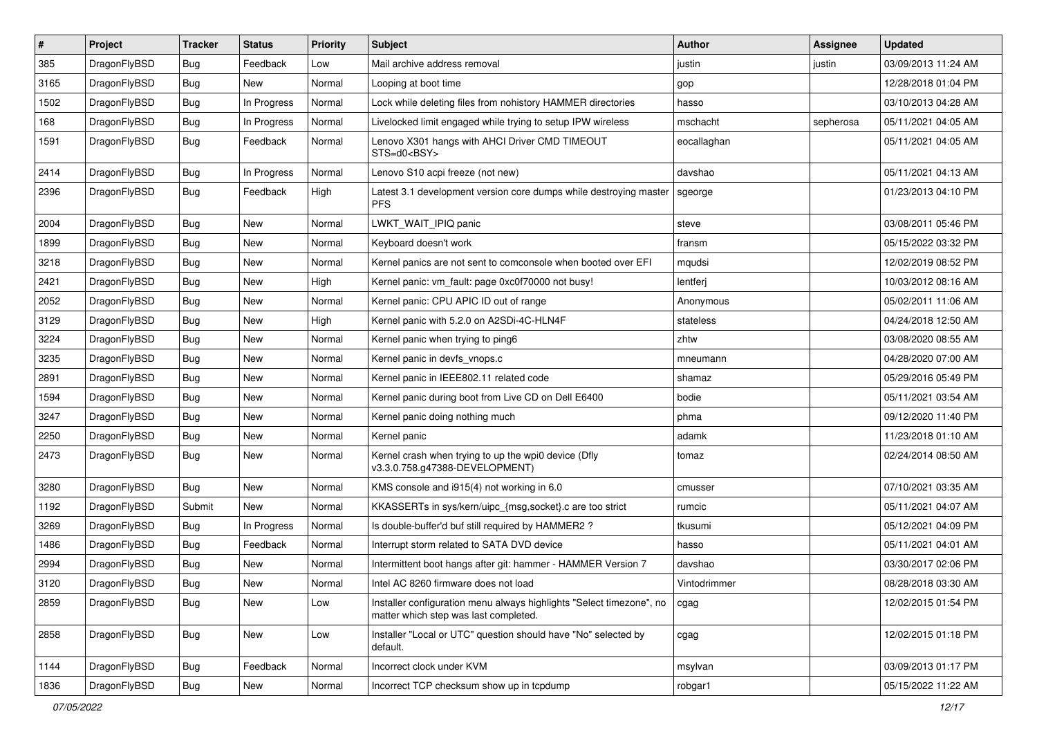| $\vert$ # | Project      | <b>Tracker</b> | <b>Status</b> | <b>Priority</b> | <b>Subject</b>                                                                                                | <b>Author</b> | <b>Assignee</b> | <b>Updated</b>      |
|-----------|--------------|----------------|---------------|-----------------|---------------------------------------------------------------------------------------------------------------|---------------|-----------------|---------------------|
| 385       | DragonFlyBSD | <b>Bug</b>     | Feedback      | Low             | Mail archive address removal                                                                                  | justin        | justin          | 03/09/2013 11:24 AM |
| 3165      | DragonFlyBSD | <b>Bug</b>     | New           | Normal          | Looping at boot time                                                                                          | gop           |                 | 12/28/2018 01:04 PM |
| 1502      | DragonFlyBSD | <b>Bug</b>     | In Progress   | Normal          | Lock while deleting files from nohistory HAMMER directories                                                   | hasso         |                 | 03/10/2013 04:28 AM |
| 168       | DragonFlyBSD | <b>Bug</b>     | In Progress   | Normal          | Livelocked limit engaged while trying to setup IPW wireless                                                   | mschacht      | sepherosa       | 05/11/2021 04:05 AM |
| 1591      | DragonFlyBSD | Bug            | Feedback      | Normal          | Lenovo X301 hangs with AHCI Driver CMD TIMEOUT<br>STS=d0 <bsy></bsy>                                          | eocallaghan   |                 | 05/11/2021 04:05 AM |
| 2414      | DragonFlyBSD | Bug            | In Progress   | Normal          | Lenovo S10 acpi freeze (not new)                                                                              | davshao       |                 | 05/11/2021 04:13 AM |
| 2396      | DragonFlyBSD | Bug            | Feedback      | High            | Latest 3.1 development version core dumps while destroying master<br><b>PFS</b>                               | sgeorge       |                 | 01/23/2013 04:10 PM |
| 2004      | DragonFlyBSD | <b>Bug</b>     | <b>New</b>    | Normal          | LWKT_WAIT_IPIQ panic                                                                                          | steve         |                 | 03/08/2011 05:46 PM |
| 1899      | DragonFlyBSD | <b>Bug</b>     | <b>New</b>    | Normal          | Keyboard doesn't work                                                                                         | fransm        |                 | 05/15/2022 03:32 PM |
| 3218      | DragonFlyBSD | Bug            | New           | Normal          | Kernel panics are not sent to comconsole when booted over EFI                                                 | mqudsi        |                 | 12/02/2019 08:52 PM |
| 2421      | DragonFlyBSD | <b>Bug</b>     | <b>New</b>    | High            | Kernel panic: vm_fault: page 0xc0f70000 not busy!                                                             | lentferj      |                 | 10/03/2012 08:16 AM |
| 2052      | DragonFlyBSD | <b>Bug</b>     | <b>New</b>    | Normal          | Kernel panic: CPU APIC ID out of range                                                                        | Anonymous     |                 | 05/02/2011 11:06 AM |
| 3129      | DragonFlyBSD | Bug            | <b>New</b>    | High            | Kernel panic with 5.2.0 on A2SDi-4C-HLN4F                                                                     | stateless     |                 | 04/24/2018 12:50 AM |
| 3224      | DragonFlyBSD | <b>Bug</b>     | <b>New</b>    | Normal          | Kernel panic when trying to ping6                                                                             | zhtw          |                 | 03/08/2020 08:55 AM |
| 3235      | DragonFlyBSD | Bug            | <b>New</b>    | Normal          | Kernel panic in devfs_vnops.c                                                                                 | mneumann      |                 | 04/28/2020 07:00 AM |
| 2891      | DragonFlyBSD | Bug            | <b>New</b>    | Normal          | Kernel panic in IEEE802.11 related code                                                                       | shamaz        |                 | 05/29/2016 05:49 PM |
| 1594      | DragonFlyBSD | <b>Bug</b>     | New           | Normal          | Kernel panic during boot from Live CD on Dell E6400                                                           | bodie         |                 | 05/11/2021 03:54 AM |
| 3247      | DragonFlyBSD | Bug            | <b>New</b>    | Normal          | Kernel panic doing nothing much                                                                               | phma          |                 | 09/12/2020 11:40 PM |
| 2250      | DragonFlyBSD | <b>Bug</b>     | <b>New</b>    | Normal          | Kernel panic                                                                                                  | adamk         |                 | 11/23/2018 01:10 AM |
| 2473      | DragonFlyBSD | Bug            | <b>New</b>    | Normal          | Kernel crash when trying to up the wpi0 device (Dfly<br>v3.3.0.758.g47388-DEVELOPMENT)                        | tomaz         |                 | 02/24/2014 08:50 AM |
| 3280      | DragonFlyBSD | <b>Bug</b>     | <b>New</b>    | Normal          | KMS console and i915(4) not working in 6.0                                                                    | cmusser       |                 | 07/10/2021 03:35 AM |
| 1192      | DragonFlyBSD | Submit         | New           | Normal          | KKASSERTs in sys/kern/uipc_{msg,socket}.c are too strict                                                      | rumcic        |                 | 05/11/2021 04:07 AM |
| 3269      | DragonFlyBSD | <b>Bug</b>     | In Progress   | Normal          | Is double-buffer'd buf still required by HAMMER2 ?                                                            | tkusumi       |                 | 05/12/2021 04:09 PM |
| 1486      | DragonFlyBSD | <b>Bug</b>     | Feedback      | Normal          | Interrupt storm related to SATA DVD device                                                                    | hasso         |                 | 05/11/2021 04:01 AM |
| 2994      | DragonFlyBSD | Bug            | <b>New</b>    | Normal          | Intermittent boot hangs after git: hammer - HAMMER Version 7                                                  | davshao       |                 | 03/30/2017 02:06 PM |
| 3120      | DragonFlyBSD | Bug            | New           | Normal          | Intel AC 8260 firmware does not load                                                                          | Vintodrimmer  |                 | 08/28/2018 03:30 AM |
| 2859      | DragonFlyBSD | Bug            | <b>New</b>    | Low             | Installer configuration menu always highlights "Select timezone", no<br>matter which step was last completed. | cgag          |                 | 12/02/2015 01:54 PM |
| 2858      | DragonFlyBSD | Bug            | New           | Low             | Installer "Local or UTC" question should have "No" selected by<br>default.                                    | cgag          |                 | 12/02/2015 01:18 PM |
| 1144      | DragonFlyBSD | <b>Bug</b>     | Feedback      | Normal          | Incorrect clock under KVM                                                                                     | msylvan       |                 | 03/09/2013 01:17 PM |
| 1836      | DragonFlyBSD | Bug            | New           | Normal          | Incorrect TCP checksum show up in tcpdump                                                                     | robgar1       |                 | 05/15/2022 11:22 AM |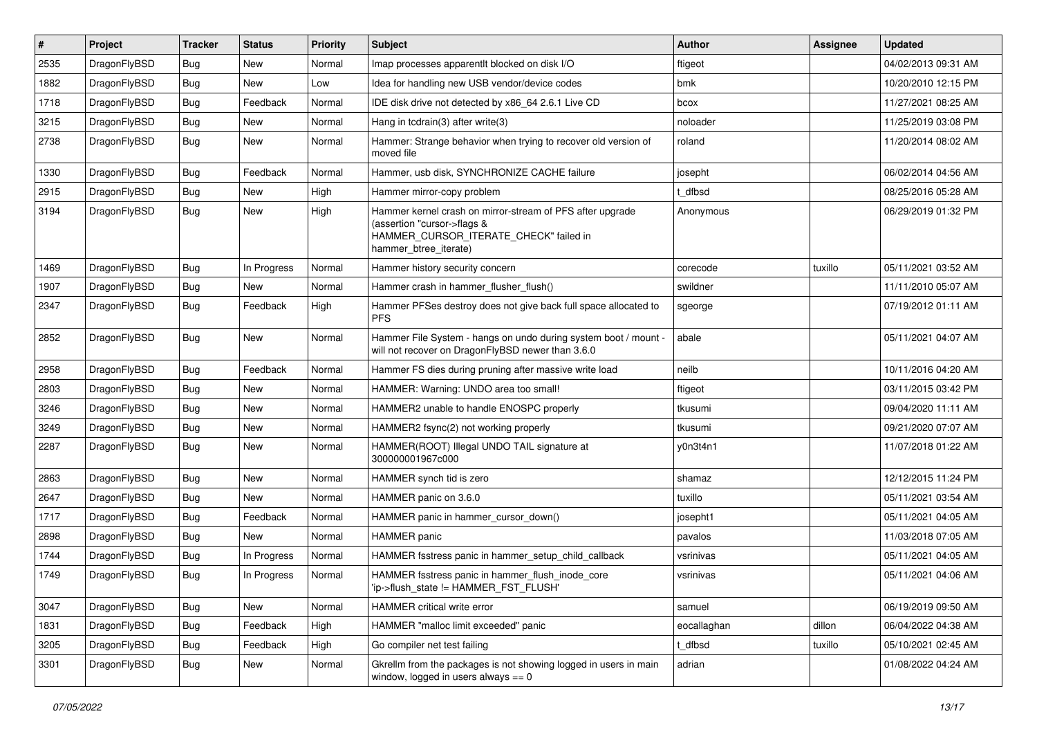| $\#$ | Project      | <b>Tracker</b> | <b>Status</b> | <b>Priority</b> | Subject                                                                                                                                                     | <b>Author</b> | Assignee | <b>Updated</b>      |
|------|--------------|----------------|---------------|-----------------|-------------------------------------------------------------------------------------------------------------------------------------------------------------|---------------|----------|---------------------|
| 2535 | DragonFlyBSD | <b>Bug</b>     | <b>New</b>    | Normal          | Imap processes apparentlt blocked on disk I/O                                                                                                               | ftigeot       |          | 04/02/2013 09:31 AM |
| 1882 | DragonFlyBSD | <b>Bug</b>     | New           | Low             | Idea for handling new USB vendor/device codes                                                                                                               | bmk           |          | 10/20/2010 12:15 PM |
| 1718 | DragonFlyBSD | Bug            | Feedback      | Normal          | IDE disk drive not detected by x86 64 2.6.1 Live CD                                                                                                         | bcox          |          | 11/27/2021 08:25 AM |
| 3215 | DragonFlyBSD | Bug            | New           | Normal          | Hang in todrain(3) after write(3)                                                                                                                           | noloader      |          | 11/25/2019 03:08 PM |
| 2738 | DragonFlyBSD | Bug            | New           | Normal          | Hammer: Strange behavior when trying to recover old version of<br>moved file                                                                                | roland        |          | 11/20/2014 08:02 AM |
| 1330 | DragonFlyBSD | <b>Bug</b>     | Feedback      | Normal          | Hammer, usb disk, SYNCHRONIZE CACHE failure                                                                                                                 | josepht       |          | 06/02/2014 04:56 AM |
| 2915 | DragonFlyBSD | Bug            | New           | High            | Hammer mirror-copy problem                                                                                                                                  | t dfbsd       |          | 08/25/2016 05:28 AM |
| 3194 | DragonFlyBSD | Bug            | New           | High            | Hammer kernel crash on mirror-stream of PFS after upgrade<br>(assertion "cursor->flags &<br>HAMMER_CURSOR_ITERATE_CHECK" failed in<br>hammer_btree_iterate) | Anonymous     |          | 06/29/2019 01:32 PM |
| 1469 | DragonFlyBSD | <b>Bug</b>     | In Progress   | Normal          | Hammer history security concern                                                                                                                             | corecode      | tuxillo  | 05/11/2021 03:52 AM |
| 1907 | DragonFlyBSD | <b>Bug</b>     | New           | Normal          | Hammer crash in hammer flusher flush()                                                                                                                      | swildner      |          | 11/11/2010 05:07 AM |
| 2347 | DragonFlyBSD | Bug            | Feedback      | High            | Hammer PFSes destroy does not give back full space allocated to<br><b>PFS</b>                                                                               | sgeorge       |          | 07/19/2012 01:11 AM |
| 2852 | DragonFlyBSD | <b>Bug</b>     | <b>New</b>    | Normal          | Hammer File System - hangs on undo during system boot / mount -<br>will not recover on DragonFlyBSD newer than 3.6.0                                        | abale         |          | 05/11/2021 04:07 AM |
| 2958 | DragonFlyBSD | <b>Bug</b>     | Feedback      | Normal          | Hammer FS dies during pruning after massive write load                                                                                                      | neilb         |          | 10/11/2016 04:20 AM |
| 2803 | DragonFlyBSD | Bug            | New           | Normal          | HAMMER: Warning: UNDO area too small!                                                                                                                       | ftigeot       |          | 03/11/2015 03:42 PM |
| 3246 | DragonFlyBSD | <b>Bug</b>     | <b>New</b>    | Normal          | HAMMER2 unable to handle ENOSPC properly                                                                                                                    | tkusumi       |          | 09/04/2020 11:11 AM |
| 3249 | DragonFlyBSD | <b>Bug</b>     | New           | Normal          | HAMMER2 fsync(2) not working properly                                                                                                                       | tkusumi       |          | 09/21/2020 07:07 AM |
| 2287 | DragonFlyBSD | Bug            | New           | Normal          | HAMMER(ROOT) Illegal UNDO TAIL signature at<br>300000001967c000                                                                                             | y0n3t4n1      |          | 11/07/2018 01:22 AM |
| 2863 | DragonFlyBSD | <b>Bug</b>     | New           | Normal          | HAMMER synch tid is zero                                                                                                                                    | shamaz        |          | 12/12/2015 11:24 PM |
| 2647 | DragonFlyBSD | <b>Bug</b>     | New           | Normal          | HAMMER panic on 3.6.0                                                                                                                                       | tuxillo       |          | 05/11/2021 03:54 AM |
| 1717 | DragonFlyBSD | Bug            | Feedback      | Normal          | HAMMER panic in hammer cursor down()                                                                                                                        | josepht1      |          | 05/11/2021 04:05 AM |
| 2898 | DragonFlyBSD | Bug            | New           | Normal          | <b>HAMMER</b> panic                                                                                                                                         | pavalos       |          | 11/03/2018 07:05 AM |
| 1744 | DragonFlyBSD | <b>Bug</b>     | In Progress   | Normal          | HAMMER fsstress panic in hammer setup child callback                                                                                                        | vsrinivas     |          | 05/11/2021 04:05 AM |
| 1749 | DragonFlyBSD | <b>Bug</b>     | In Progress   | Normal          | HAMMER fsstress panic in hammer flush inode core<br>'ip->flush_state != HAMMER_FST_FLUSH'                                                                   | vsrinivas     |          | 05/11/2021 04:06 AM |
| 3047 | DragonFlyBSD | Bug            | New           | Normal          | HAMMER critical write error                                                                                                                                 | samuel        |          | 06/19/2019 09:50 AM |
| 1831 | DragonFlyBSD | <b>Bug</b>     | Feedback      | High            | HAMMER "malloc limit exceeded" panic                                                                                                                        | eocallaghan   | dillon   | 06/04/2022 04:38 AM |
| 3205 | DragonFlyBSD | Bug            | Feedback      | High            | Go compiler net test failing                                                                                                                                | t_dfbsd       | tuxillo  | 05/10/2021 02:45 AM |
| 3301 | DragonFlyBSD | <b>Bug</b>     | New           | Normal          | Gkrellm from the packages is not showing logged in users in main<br>window, logged in users always $== 0$                                                   | adrian        |          | 01/08/2022 04:24 AM |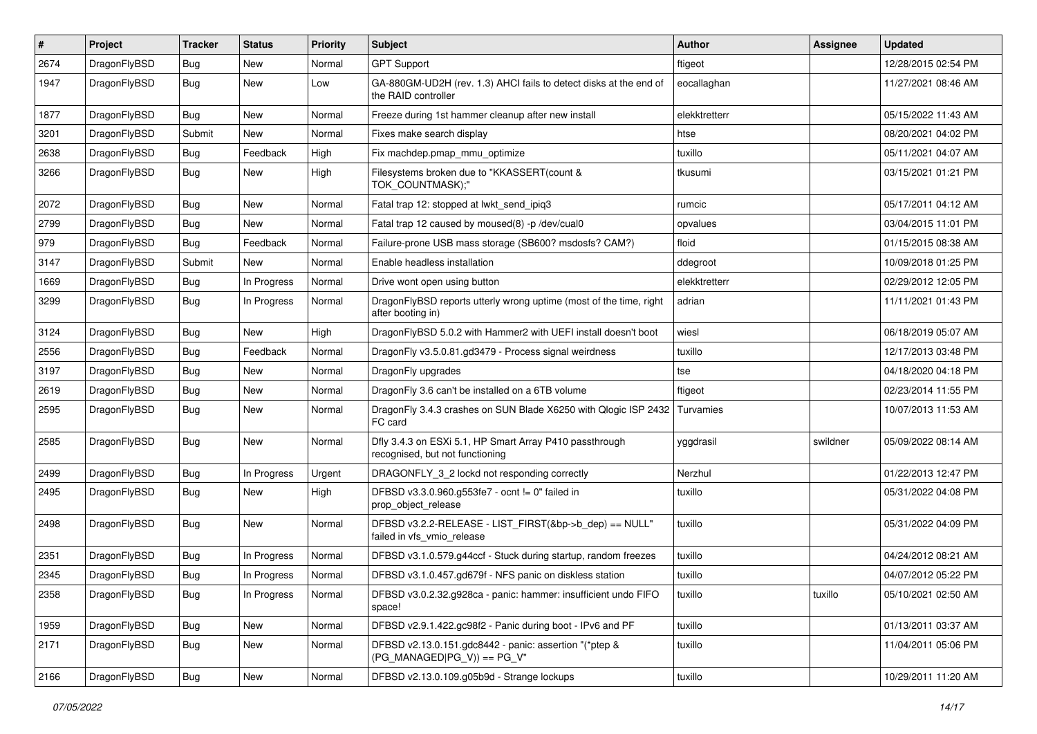| $\sharp$ | Project      | <b>Tracker</b> | <b>Status</b> | <b>Priority</b> | Subject                                                                                    | <b>Author</b> | Assignee | <b>Updated</b>      |
|----------|--------------|----------------|---------------|-----------------|--------------------------------------------------------------------------------------------|---------------|----------|---------------------|
| 2674     | DragonFlyBSD | Bug            | <b>New</b>    | Normal          | <b>GPT Support</b>                                                                         | ftigeot       |          | 12/28/2015 02:54 PM |
| 1947     | DragonFlyBSD | <b>Bug</b>     | New           | Low             | GA-880GM-UD2H (rev. 1.3) AHCI fails to detect disks at the end of<br>the RAID controller   | eocallaghan   |          | 11/27/2021 08:46 AM |
| 1877     | DragonFlyBSD | Bug            | <b>New</b>    | Normal          | Freeze during 1st hammer cleanup after new install                                         | elekktretterr |          | 05/15/2022 11:43 AM |
| 3201     | DragonFlyBSD | Submit         | <b>New</b>    | Normal          | Fixes make search display                                                                  | htse          |          | 08/20/2021 04:02 PM |
| 2638     | DragonFlyBSD | Bug            | Feedback      | High            | Fix machdep.pmap_mmu_optimize                                                              | tuxillo       |          | 05/11/2021 04:07 AM |
| 3266     | DragonFlyBSD | Bug            | New           | High            | Filesystems broken due to "KKASSERT(count &<br>TOK COUNTMASK);"                            | tkusumi       |          | 03/15/2021 01:21 PM |
| 2072     | DragonFlyBSD | Bug            | <b>New</b>    | Normal          | Fatal trap 12: stopped at lwkt_send_ipiq3                                                  | rumcic        |          | 05/17/2011 04:12 AM |
| 2799     | DragonFlyBSD | Bug            | <b>New</b>    | Normal          | Fatal trap 12 caused by moused(8) -p /dev/cual0                                            | opvalues      |          | 03/04/2015 11:01 PM |
| 979      | DragonFlyBSD | Bug            | Feedback      | Normal          | Failure-prone USB mass storage (SB600? msdosfs? CAM?)                                      | floid         |          | 01/15/2015 08:38 AM |
| 3147     | DragonFlyBSD | Submit         | <b>New</b>    | Normal          | Enable headless installation                                                               | ddegroot      |          | 10/09/2018 01:25 PM |
| 1669     | DragonFlyBSD | Bug            | In Progress   | Normal          | Drive wont open using button                                                               | elekktretterr |          | 02/29/2012 12:05 PM |
| 3299     | DragonFlyBSD | Bug            | In Progress   | Normal          | DragonFlyBSD reports utterly wrong uptime (most of the time, right<br>after booting in)    | adrian        |          | 11/11/2021 01:43 PM |
| 3124     | DragonFlyBSD | Bug            | <b>New</b>    | High            | DragonFlyBSD 5.0.2 with Hammer2 with UEFI install doesn't boot                             | wiesl         |          | 06/18/2019 05:07 AM |
| 2556     | DragonFlyBSD | Bug            | Feedback      | Normal          | DragonFly v3.5.0.81.gd3479 - Process signal weirdness                                      | tuxillo       |          | 12/17/2013 03:48 PM |
| 3197     | DragonFlyBSD | Bug            | New           | Normal          | DragonFly upgrades                                                                         | tse           |          | 04/18/2020 04:18 PM |
| 2619     | DragonFlyBSD | Bug            | New           | Normal          | DragonFly 3.6 can't be installed on a 6TB volume                                           | ftigeot       |          | 02/23/2014 11:55 PM |
| 2595     | DragonFlyBSD | Bug            | <b>New</b>    | Normal          | DragonFly 3.4.3 crashes on SUN Blade X6250 with Qlogic ISP 2432<br>FC card                 | Turvamies     |          | 10/07/2013 11:53 AM |
| 2585     | DragonFlyBSD | Bug            | New           | Normal          | Dfly 3.4.3 on ESXi 5.1, HP Smart Array P410 passthrough<br>recognised, but not functioning | yggdrasil     | swildner | 05/09/2022 08:14 AM |
| 2499     | DragonFlyBSD | Bug            | In Progress   | Urgent          | DRAGONFLY_3_2 lockd not responding correctly                                               | Nerzhul       |          | 01/22/2013 12:47 PM |
| 2495     | DragonFlyBSD | Bug            | New           | High            | DFBSD v3.3.0.960.g553fe7 - ocnt != 0" failed in<br>prop_object_release                     | tuxillo       |          | 05/31/2022 04:08 PM |
| 2498     | DragonFlyBSD | Bug            | New           | Normal          | DFBSD v3.2.2-RELEASE - LIST_FIRST(&bp->b_dep) == NULL"<br>failed in vfs_vmio_release       | tuxillo       |          | 05/31/2022 04:09 PM |
| 2351     | DragonFlyBSD | Bug            | In Progress   | Normal          | DFBSD v3.1.0.579.g44ccf - Stuck during startup, random freezes                             | tuxillo       |          | 04/24/2012 08:21 AM |
| 2345     | DragonFlyBSD | Bug            | In Progress   | Normal          | DFBSD v3.1.0.457.gd679f - NFS panic on diskless station                                    | tuxillo       |          | 04/07/2012 05:22 PM |
| 2358     | DragonFlyBSD | Bug            | In Progress   | Normal          | DFBSD v3.0.2.32.g928ca - panic: hammer: insufficient undo FIFO<br>space!                   | tuxillo       | tuxillo  | 05/10/2021 02:50 AM |
| 1959     | DragonFlyBSD | <b>Bug</b>     | New           | Normal          | DFBSD v2.9.1.422.gc98f2 - Panic during boot - IPv6 and PF                                  | tuxillo       |          | 01/13/2011 03:37 AM |
| 2171     | DragonFlyBSD | <b>Bug</b>     | New           | Normal          | DFBSD v2.13.0.151.gdc8442 - panic: assertion "(*ptep &<br>$(PG MANAGED PG V)) == PG V"$    | tuxillo       |          | 11/04/2011 05:06 PM |
| 2166     | DragonFlyBSD | <b>Bug</b>     | New           | Normal          | DFBSD v2.13.0.109.g05b9d - Strange lockups                                                 | tuxillo       |          | 10/29/2011 11:20 AM |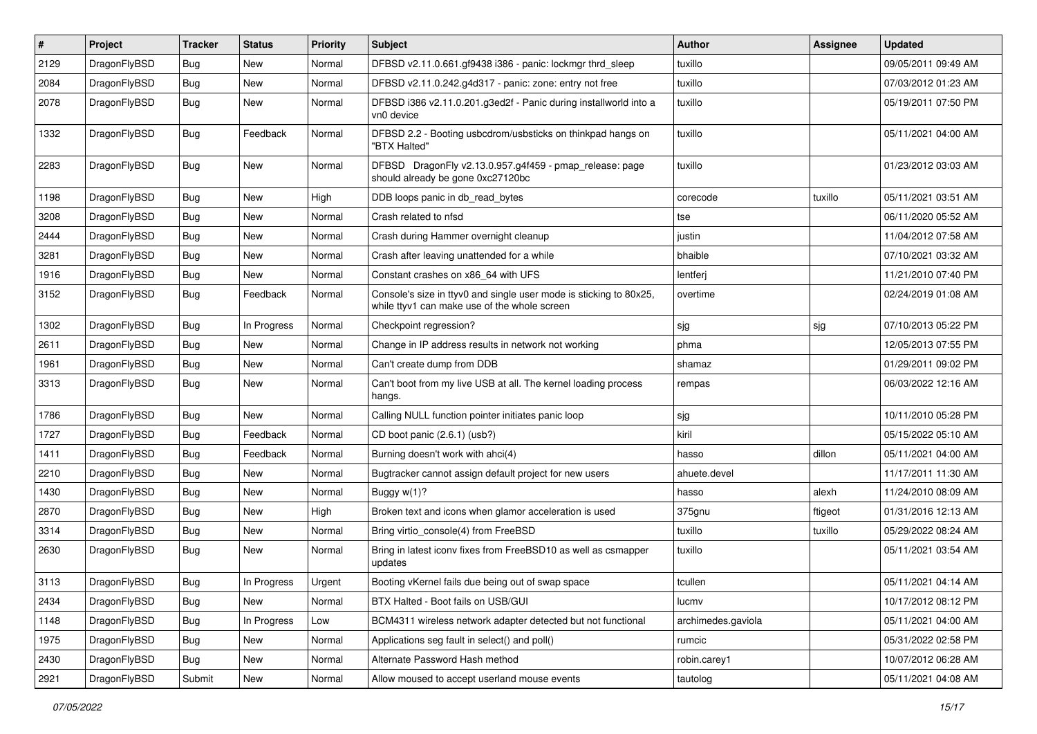| $\sharp$ | Project      | <b>Tracker</b> | <b>Status</b> | <b>Priority</b> | Subject                                                                                                            | <b>Author</b>      | Assignee | <b>Updated</b>      |
|----------|--------------|----------------|---------------|-----------------|--------------------------------------------------------------------------------------------------------------------|--------------------|----------|---------------------|
| 2129     | DragonFlyBSD | Bug            | <b>New</b>    | Normal          | DFBSD v2.11.0.661.gf9438 i386 - panic: lockmgr thrd_sleep                                                          | tuxillo            |          | 09/05/2011 09:49 AM |
| 2084     | DragonFlyBSD | Bug            | New           | Normal          | DFBSD v2.11.0.242.g4d317 - panic: zone: entry not free                                                             | tuxillo            |          | 07/03/2012 01:23 AM |
| 2078     | DragonFlyBSD | Bug            | New           | Normal          | DFBSD i386 v2.11.0.201.g3ed2f - Panic during installworld into a<br>vn0 device                                     | tuxillo            |          | 05/19/2011 07:50 PM |
| 1332     | DragonFlyBSD | <b>Bug</b>     | Feedback      | Normal          | DFBSD 2.2 - Booting usbcdrom/usbsticks on thinkpad hangs on<br>"BTX Halted"                                        | tuxillo            |          | 05/11/2021 04:00 AM |
| 2283     | DragonFlyBSD | Bug            | New           | Normal          | DFBSD DragonFly v2.13.0.957.g4f459 - pmap_release: page<br>should already be gone 0xc27120bc                       | tuxillo            |          | 01/23/2012 03:03 AM |
| 1198     | DragonFlyBSD | Bug            | <b>New</b>    | High            | DDB loops panic in db_read_bytes                                                                                   | corecode           | tuxillo  | 05/11/2021 03:51 AM |
| 3208     | DragonFlyBSD | Bug            | New           | Normal          | Crash related to nfsd                                                                                              | tse                |          | 06/11/2020 05:52 AM |
| 2444     | DragonFlyBSD | <b>Bug</b>     | New           | Normal          | Crash during Hammer overnight cleanup                                                                              | justin             |          | 11/04/2012 07:58 AM |
| 3281     | DragonFlyBSD | Bug            | New           | Normal          | Crash after leaving unattended for a while                                                                         | bhaible            |          | 07/10/2021 03:32 AM |
| 1916     | DragonFlyBSD | Bug            | New           | Normal          | Constant crashes on x86_64 with UFS                                                                                | lentferj           |          | 11/21/2010 07:40 PM |
| 3152     | DragonFlyBSD | Bug            | Feedback      | Normal          | Console's size in ttyv0 and single user mode is sticking to 80x25,<br>while ttyv1 can make use of the whole screen | overtime           |          | 02/24/2019 01:08 AM |
| 1302     | DragonFlyBSD | Bug            | In Progress   | Normal          | Checkpoint regression?                                                                                             | sjg                | sjg      | 07/10/2013 05:22 PM |
| 2611     | DragonFlyBSD | Bug            | New           | Normal          | Change in IP address results in network not working                                                                | phma               |          | 12/05/2013 07:55 PM |
| 1961     | DragonFlyBSD | Bug            | New           | Normal          | Can't create dump from DDB                                                                                         | shamaz             |          | 01/29/2011 09:02 PM |
| 3313     | DragonFlyBSD | Bug            | New           | Normal          | Can't boot from my live USB at all. The kernel loading process<br>hangs.                                           | rempas             |          | 06/03/2022 12:16 AM |
| 1786     | DragonFlyBSD | Bug            | New           | Normal          | Calling NULL function pointer initiates panic loop                                                                 | sjg                |          | 10/11/2010 05:28 PM |
| 1727     | DragonFlyBSD | Bug            | Feedback      | Normal          | CD boot panic (2.6.1) (usb?)                                                                                       | kiril              |          | 05/15/2022 05:10 AM |
| 1411     | DragonFlyBSD | Bug            | Feedback      | Normal          | Burning doesn't work with ahci(4)                                                                                  | hasso              | dillon   | 05/11/2021 04:00 AM |
| 2210     | DragonFlyBSD | Bug            | New           | Normal          | Bugtracker cannot assign default project for new users                                                             | ahuete.devel       |          | 11/17/2011 11:30 AM |
| 1430     | DragonFlyBSD | Bug            | New           | Normal          | Buggy w(1)?                                                                                                        | hasso              | alexh    | 11/24/2010 08:09 AM |
| 2870     | DragonFlyBSD | Bug            | New           | High            | Broken text and icons when glamor acceleration is used                                                             | 375gnu             | ftigeot  | 01/31/2016 12:13 AM |
| 3314     | DragonFlyBSD | Bug            | New           | Normal          | Bring virtio_console(4) from FreeBSD                                                                               | tuxillo            | tuxillo  | 05/29/2022 08:24 AM |
| 2630     | DragonFlyBSD | Bug            | <b>New</b>    | Normal          | Bring in latest iconv fixes from FreeBSD10 as well as csmapper<br>updates                                          | tuxillo            |          | 05/11/2021 03:54 AM |
| 3113     | DragonFlyBSD | Bug            | In Progress   | Urgent          | Booting vKernel fails due being out of swap space                                                                  | tcullen            |          | 05/11/2021 04:14 AM |
| 2434     | DragonFlyBSD | <b>Bug</b>     | New           | Normal          | BTX Halted - Boot fails on USB/GUI                                                                                 | lucmv              |          | 10/17/2012 08:12 PM |
| 1148     | DragonFlyBSD | <b>Bug</b>     | In Progress   | Low             | BCM4311 wireless network adapter detected but not functional                                                       | archimedes.gaviola |          | 05/11/2021 04:00 AM |
| 1975     | DragonFlyBSD | <b>Bug</b>     | <b>New</b>    | Normal          | Applications seg fault in select() and poll()                                                                      | rumcic             |          | 05/31/2022 02:58 PM |
| 2430     | DragonFlyBSD | Bug            | New           | Normal          | Alternate Password Hash method                                                                                     | robin.carey1       |          | 10/07/2012 06:28 AM |
| 2921     | DragonFlyBSD | Submit         | New           | Normal          | Allow moused to accept userland mouse events                                                                       | tautolog           |          | 05/11/2021 04:08 AM |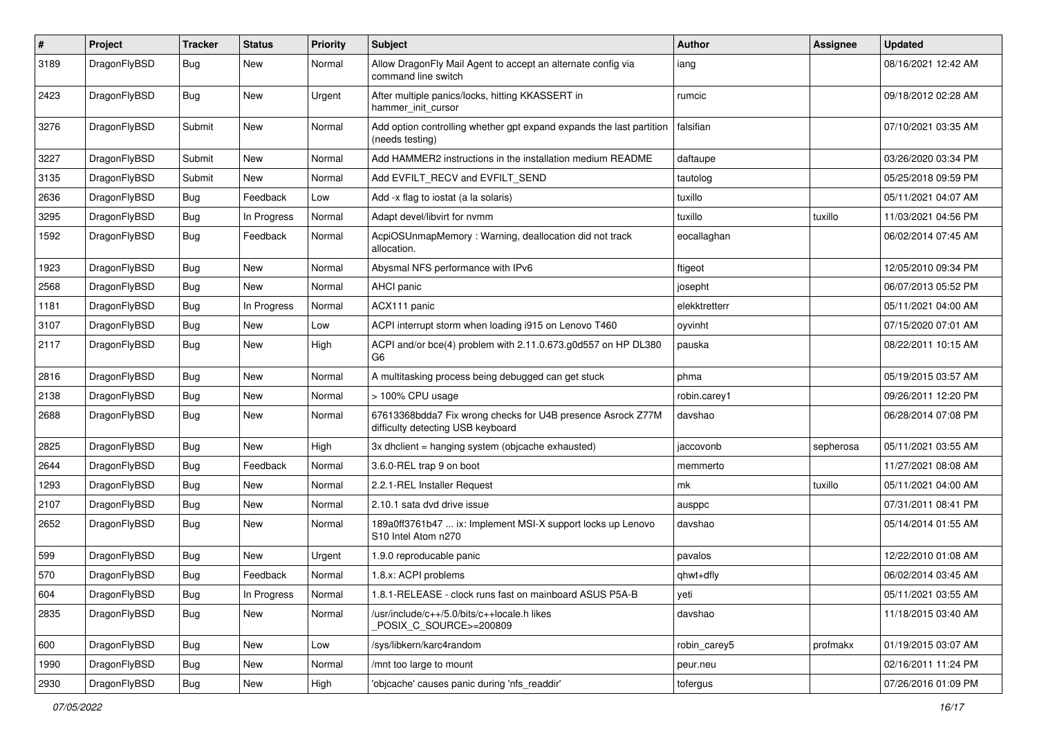| $\sharp$ | Project      | <b>Tracker</b> | <b>Status</b> | <b>Priority</b> | Subject                                                                                          | <b>Author</b> | Assignee  | <b>Updated</b>      |
|----------|--------------|----------------|---------------|-----------------|--------------------------------------------------------------------------------------------------|---------------|-----------|---------------------|
| 3189     | DragonFlyBSD | Bug            | <b>New</b>    | Normal          | Allow DragonFly Mail Agent to accept an alternate config via<br>command line switch              | iang          |           | 08/16/2021 12:42 AM |
| 2423     | DragonFlyBSD | Bug            | <b>New</b>    | Urgent          | After multiple panics/locks, hitting KKASSERT in<br>hammer_init_cursor                           | rumcic        |           | 09/18/2012 02:28 AM |
| 3276     | DragonFlyBSD | Submit         | <b>New</b>    | Normal          | Add option controlling whether gpt expand expands the last partition<br>(needs testing)          | falsifian     |           | 07/10/2021 03:35 AM |
| 3227     | DragonFlyBSD | Submit         | <b>New</b>    | Normal          | Add HAMMER2 instructions in the installation medium README                                       | daftaupe      |           | 03/26/2020 03:34 PM |
| 3135     | DragonFlyBSD | Submit         | New           | Normal          | Add EVFILT_RECV and EVFILT_SEND                                                                  | tautolog      |           | 05/25/2018 09:59 PM |
| 2636     | DragonFlyBSD | <b>Bug</b>     | Feedback      | Low             | Add -x flag to iostat (a la solaris)                                                             | tuxillo       |           | 05/11/2021 04:07 AM |
| 3295     | DragonFlyBSD | Bug            | In Progress   | Normal          | Adapt devel/libvirt for nvmm                                                                     | tuxillo       | tuxillo   | 11/03/2021 04:56 PM |
| 1592     | DragonFlyBSD | <b>Bug</b>     | Feedback      | Normal          | AcpiOSUnmapMemory: Warning, deallocation did not track<br>allocation.                            | eocallaghan   |           | 06/02/2014 07:45 AM |
| 1923     | DragonFlyBSD | Bug            | <b>New</b>    | Normal          | Abysmal NFS performance with IPv6                                                                | ftigeot       |           | 12/05/2010 09:34 PM |
| 2568     | DragonFlyBSD | <b>Bug</b>     | New           | Normal          | <b>AHCI</b> panic                                                                                | josepht       |           | 06/07/2013 05:52 PM |
| 1181     | DragonFlyBSD | Bug            | In Progress   | Normal          | ACX111 panic                                                                                     | elekktretterr |           | 05/11/2021 04:00 AM |
| 3107     | DragonFlyBSD | <b>Bug</b>     | New           | Low             | ACPI interrupt storm when loading i915 on Lenovo T460                                            | oyvinht       |           | 07/15/2020 07:01 AM |
| 2117     | DragonFlyBSD | <b>Bug</b>     | <b>New</b>    | High            | ACPI and/or bce(4) problem with 2.11.0.673.g0d557 on HP DL380<br>G <sub>6</sub>                  | pauska        |           | 08/22/2011 10:15 AM |
| 2816     | DragonFlyBSD | Bug            | <b>New</b>    | Normal          | A multitasking process being debugged can get stuck                                              | phma          |           | 05/19/2015 03:57 AM |
| 2138     | DragonFlyBSD | Bug            | <b>New</b>    | Normal          | > 100% CPU usage                                                                                 | robin.carey1  |           | 09/26/2011 12:20 PM |
| 2688     | DragonFlyBSD | Bug            | <b>New</b>    | Normal          | 67613368bdda7 Fix wrong checks for U4B presence Asrock Z77M<br>difficulty detecting USB keyboard | davshao       |           | 06/28/2014 07:08 PM |
| 2825     | DragonFlyBSD | Bug            | <b>New</b>    | High            | 3x dhclient = hanging system (objcache exhausted)                                                | jaccovonb     | sepherosa | 05/11/2021 03:55 AM |
| 2644     | DragonFlyBSD | <b>Bug</b>     | Feedback      | Normal          | 3.6.0-REL trap 9 on boot                                                                         | memmerto      |           | 11/27/2021 08:08 AM |
| 1293     | DragonFlyBSD | <b>Bug</b>     | <b>New</b>    | Normal          | 2.2.1-REL Installer Request                                                                      | mk            | tuxillo   | 05/11/2021 04:00 AM |
| 2107     | DragonFlyBSD | Bug            | <b>New</b>    | Normal          | 2.10.1 sata dvd drive issue                                                                      | ausppc        |           | 07/31/2011 08:41 PM |
| 2652     | DragonFlyBSD | <b>Bug</b>     | <b>New</b>    | Normal          | 189a0ff3761b47  ix: Implement MSI-X support locks up Lenovo<br>S10 Intel Atom n270               | davshao       |           | 05/14/2014 01:55 AM |
| 599      | DragonFlyBSD | Bug            | <b>New</b>    | Urgent          | 1.9.0 reproducable panic                                                                         | pavalos       |           | 12/22/2010 01:08 AM |
| 570      | DragonFlyBSD | Bug            | Feedback      | Normal          | 1.8.x: ACPI problems                                                                             | qhwt+dfly     |           | 06/02/2014 03:45 AM |
| 604      | DragonFlyBSD | Bug            | In Progress   | Normal          | 1.8.1-RELEASE - clock runs fast on mainboard ASUS P5A-B                                          | yeti          |           | 05/11/2021 03:55 AM |
| 2835     | DragonFlyBSD | Bug            | New           | Normal          | /usr/include/c++/5.0/bits/c++locale.h likes<br>POSIX_C_SOURCE>=200809                            | davshao       |           | 11/18/2015 03:40 AM |
| 600      | DragonFlyBSD | <b>Bug</b>     | New           | Low             | /sys/libkern/karc4random                                                                         | robin carey5  | profmakx  | 01/19/2015 03:07 AM |
| 1990     | DragonFlyBSD | <b>Bug</b>     | New           | Normal          | /mnt too large to mount                                                                          | peur.neu      |           | 02/16/2011 11:24 PM |
| 2930     | DragonFlyBSD | <b>Bug</b>     | New           | High            | 'objcache' causes panic during 'nfs_readdir'                                                     | tofergus      |           | 07/26/2016 01:09 PM |